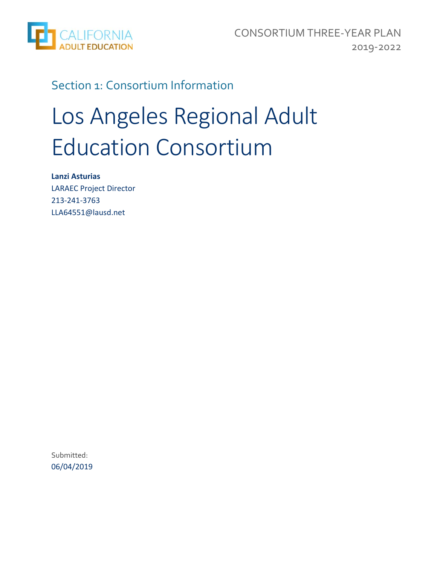

### Section 1: Consortium Information

# Los Angeles Regional Adult Education Consortium

**Lanzi Asturias**  LARAEC Project Director 213‐241‐3763 LLA64551@lausd.net

Submitted: 06/04/2019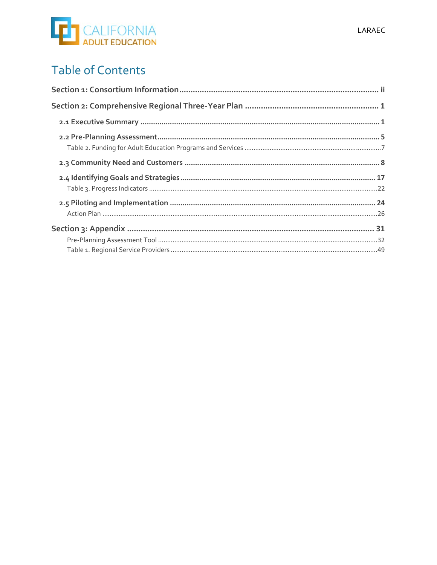# **ED** CALIFORNIA

# **Table of Contents**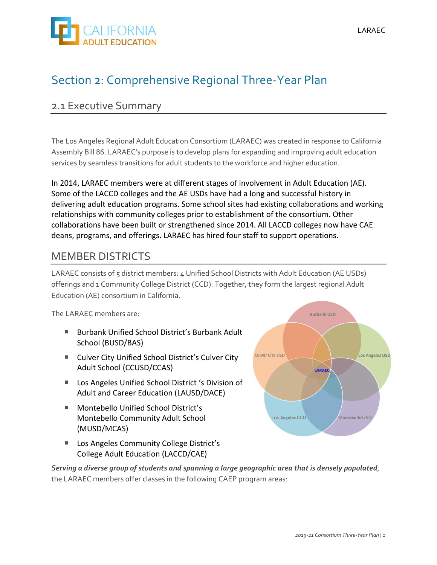

## Section 2: Comprehensive Regional Three‐Year Plan

### 2.1 Executive Summary

The Los Angeles Regional Adult Education Consortium (LARAEC) was created in response to California Assembly Bill 86. LARAEC's purpose is to develop plans for expanding and improving adult education services by seamless transitions for adult students to the workforce and higher education.

In 2014, LARAEC members were at different stages of involvement in Adult Education (AE). Some of the LACCD colleges and the AE USDs have had a long and successful history in delivering adult education programs. Some school sites had existing collaborations and working relationships with community colleges prior to establishment of the consortium. Other collaborations have been built or strengthened since 2014. All LACCD colleges now have CAE deans, programs, and offerings. LARAEC has hired four staff to support operations.

### MEMBER DISTRICTS

LARAEC consists of 5 district members: 4 Unified School Districts with Adult Education (AE USDs) offerings and 1 Community College District (CCD). Together, they form the largest regional Adult Education (AE) consortium in California.

The LARAEC members are:

- Burbank Unified School District's Burbank Adult School (BUSD/BAS)
- Culver City Unified School District's Culver City Adult School (CCUSD/CCAS)
- Los Angeles Unified School District 's Division of Adult and Career Education (LAUSD/DACE)
- Montebello Unified School District's Montebello Community Adult School (MUSD/MCAS)
- **Los Angeles Community College District's** College Adult Education (LACCD/CAE)



*Serving a diverse group of students and spanning a large geographic area that is densely populated*, the LARAEC members offer classes in the following CAEP program areas: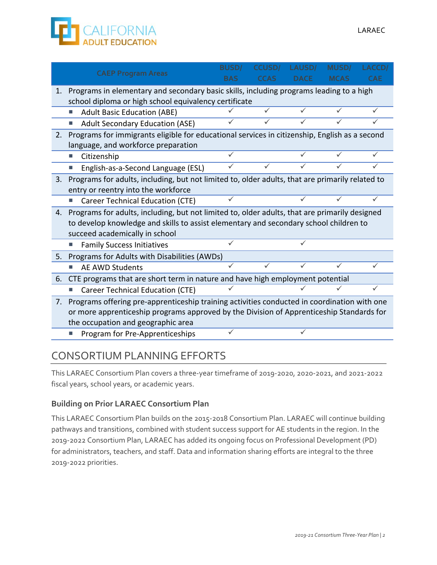

|    | <b>CAEP Program Areas</b>                                                                       | <b>BUSD/</b> | <b>CCUSDI</b> | <b>LAUSD/</b> | <b>MUSD</b> | <b>LACCD</b> |
|----|-------------------------------------------------------------------------------------------------|--------------|---------------|---------------|-------------|--------------|
|    |                                                                                                 | BAS          | CCAS          | <b>DACE</b>   | <b>MCAS</b> | <b>CAE</b>   |
| 1. | Programs in elementary and secondary basic skills, including programs leading to a high         |              |               |               |             |              |
|    | school diploma or high school equivalency certificate                                           |              |               |               |             |              |
|    | <b>Adult Basic Education (ABE)</b><br>п                                                         |              |               |               |             | ✓            |
|    | <b>Adult Secondary Education (ASE)</b><br>▁                                                     |              |               |               |             | $\checkmark$ |
| 2. | Programs for immigrants eligible for educational services in citizenship, English as a second   |              |               |               |             |              |
|    | language, and workforce preparation                                                             |              |               |               |             |              |
|    | Citizenship<br>L.                                                                               | $\checkmark$ |               |               |             | ✓            |
|    |                                                                                                 |              |               |               |             |              |
|    | English-as-a-Second Language (ESL)                                                              |              |               |               |             |              |
| 3. | Programs for adults, including, but not limited to, older adults, that are primarily related to |              |               |               |             |              |
|    | entry or reentry into the workforce                                                             |              |               |               |             |              |
|    | Career Technical Education (CTE)<br>L.                                                          |              |               |               |             |              |
| 4. | Programs for adults, including, but not limited to, older adults, that are primarily designed   |              |               |               |             |              |
|    | to develop knowledge and skills to assist elementary and secondary school children to           |              |               |               |             |              |
|    | succeed academically in school                                                                  |              |               |               |             |              |
|    | <b>Family Success Initiatives</b>                                                               |              |               |               |             |              |
| 5. | Programs for Adults with Disabilities (AWDs)                                                    |              |               |               |             |              |
|    | <b>AE AWD Students</b><br>П                                                                     |              |               |               |             |              |
| 6. | CTE programs that are short term in nature and have high employment potential                   |              |               |               |             |              |
|    | <b>Career Technical Education (CTE)</b><br>L.                                                   |              |               |               |             |              |
| 7. | Programs offering pre-apprenticeship training activities conducted in coordination with one     |              |               |               |             |              |
|    |                                                                                                 |              |               |               |             |              |
|    | or more apprenticeship programs approved by the Division of Apprenticeship Standards for        |              |               |               |             |              |
|    | the occupation and geographic area                                                              |              |               |               |             |              |
|    | Program for Pre-Apprenticeships<br>П                                                            |              |               |               |             |              |

### CONSORTIUM PLANNING EFFORTS

This LARAEC Consortium Plan covers a three‐year timeframe of 2019‐2020, 2020‐2021, and 2021‐2022 fiscal years, school years, or academic years.

### **Building on Prior LARAEC Consortium Plan**

This LARAEC Consortium Plan builds on the 2015‐2018 Consortium Plan. LARAEC will continue building pathways and transitions, combined with student success support for AE students in the region. In the 2019‐2022 Consortium Plan, LARAEC has added its ongoing focus on Professional Development (PD) for administrators, teachers, and staff. Data and information sharing efforts are integral to the three 2019‐2022 priorities.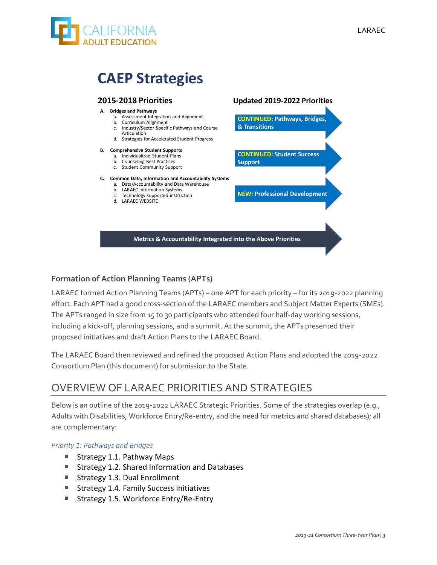

# **CAEP Strategies**

#### **2015‐2018 Priorities**

#### **A. Bridges and Pathways**

- a. Assessment Integration and Alignment
- b. Curriculum Alignment c. Industry/Sector Specific Pathways and Course
- Articulation d. Strategies for Accelerated Student Progress

#### **B. Comprehensive Student Supports**

- a. Individualized Student Plans
- b. Counseling Best Practices
- c. Student Community Support

#### **C. Common Data, Information and Accountability Systems**

- a. Data/Accountability and Data Warehouse
- b. LARAEC Information Systems
- c. Technology supported instruction d. LARAEC WEBSITE

#### **Updated 2019‐2022 Priorities**

**CONTINUED: Pathways, Bridges, & Transitions**

**CONTINUED: Student Success Support**

**NEW: Professional Development**

1

**Metrics & Accountability Integrated into the Above Priorities**

### **Formation of Action Planning Teams (APTs)**

LARAEC formed Action Planning Teams (APTs) – one APT for each priority – for its 2019‐2022 planning effort. Each APT had a good cross‐section of the LARAEC members and Subject Matter Experts (SMEs). The APTs ranged in size from 15 to 30 participants who attended four half-day working sessions, including a kick‐off, planning sessions, and a summit. At the summit, the APTs presented their proposed initiatives and draft Action Plans to the LARAEC Board.

The LARAEC Board then reviewed and refined the proposed Action Plans and adopted the 2019‐2022 Consortium Plan (this document) for submission to the State.

### OVERVIEW OF LARAEC PRIORITIES AND STRATEGIES

Below is an outline of the 2019‐2022 LARAEC Strategic Priorities. Some of the strategies overlap (e.g., Adults with Disabilities, Workforce Entry/Re‐entry, and the need for metrics and shared databases); all are complementary:

#### *Priority 1: Pathways and Bridges*

- Strategy 1.1. Pathway Maps
- Strategy 1.2. Shared Information and Databases
- Strategy 1.3. Dual Enrollment
- Strategy 1.4. Family Success Initiatives
- Strategy 1.5. Workforce Entry/Re-Entry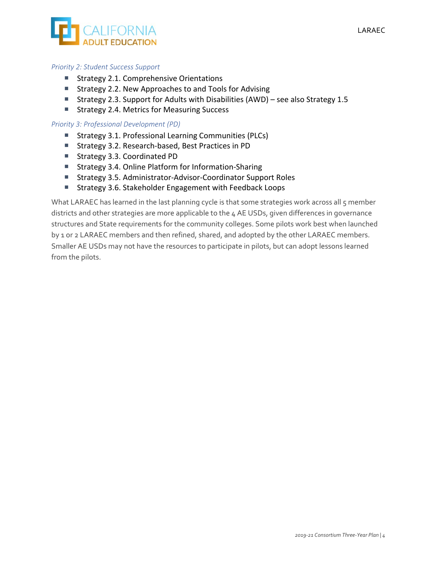

#### *Priority 2: Student Success Support*

- Strategy 2.1. Comprehensive Orientations
- Strategy 2.2. New Approaches to and Tools for Advising
- Strategy 2.3. Support for Adults with Disabilities (AWD) see also Strategy 1.5
- Strategy 2.4. Metrics for Measuring Success

#### *Priority 3: Professional Development (PD)*

- Strategy 3.1. Professional Learning Communities (PLCs)
- Strategy 3.2. Research-based, Best Practices in PD
- Strategy 3.3. Coordinated PD
- Strategy 3.4. Online Platform for Information-Sharing
- Strategy 3.5. Administrator-Advisor-Coordinator Support Roles
- Strategy 3.6. Stakeholder Engagement with Feedback Loops

What LARAEC has learned in the last planning cycle is that some strategies work across all 5 member districts and other strategies are more applicable to the 4 AE USDs, given differences in governance structures and State requirements for the community colleges. Some pilots work best when launched by 1 or 2 LARAEC members and then refined, shared, and adopted by the other LARAEC members. Smaller AE USDs may not have the resources to participate in pilots, but can adopt lessons learned from the pilots.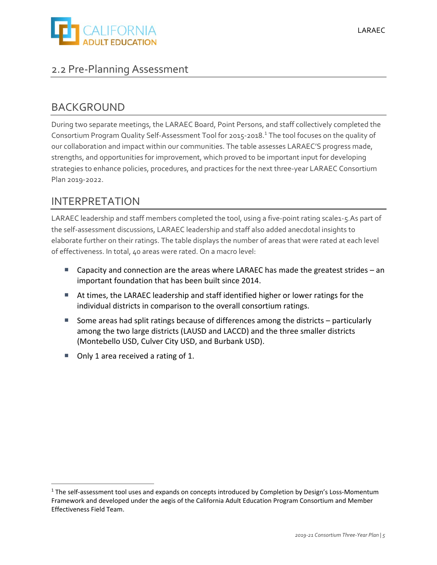

### 2.2 Pre‐Planning Assessment

### BACKGROUND

During two separate meetings, the LARAEC Board, Point Persons, and staff collectively completed the Consortium Program Quality Self‐Assessment Tool for 2015‐2018.<sup>1</sup> The tool focuses on the quality of our collaboration and impact within our communities. The table assesses LARAEC'S progress made, strengths, and opportunities for improvement, which proved to be important input for developing strategies to enhance policies, procedures, and practices for the next three‐year LARAEC Consortium Plan 2019‐2022.

### INTERPRETATION

LARAEC leadership and staff members completed the tool, using a five-point rating scale1-5.As part of the self‐assessment discussions, LARAEC leadership and staff also added anecdotal insights to elaborate further on their ratings. The table displays the number of areas that were rated at each level of effectiveness. In total, 40 areas were rated. On a macro level:

- Capacity and connection are the areas where LARAEC has made the greatest strides an important foundation that has been built since 2014.
- At times, the LARAEC leadership and staff identified higher or lower ratings for the individual districts in comparison to the overall consortium ratings.
- Some areas had split ratings because of differences among the districts particularly among the two large districts (LAUSD and LACCD) and the three smaller districts (Montebello USD, Culver City USD, and Burbank USD).
- Only 1 area received a rating of 1.

<sup>&</sup>lt;sup>1</sup> The self-assessment tool uses and expands on concepts introduced by Completion by Design's Loss-Momentum Framework and developed under the aegis of the California Adult Education Program Consortium and Member Effectiveness Field Team.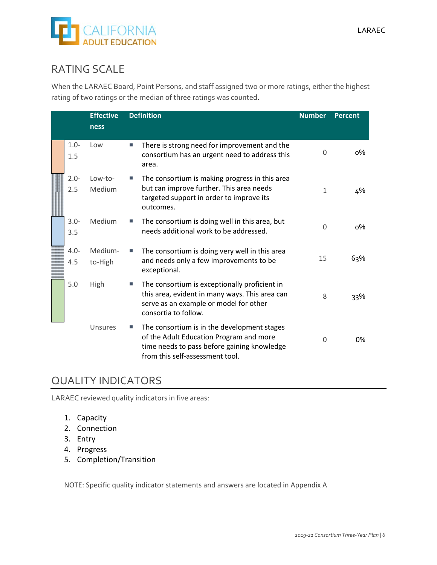

### RATING SCALE

When the LARAEC Board, Point Persons, and staff assigned two or more ratings, either the highest rating of two ratings or the median of three ratings was counted.

|                | <b>Effective</b><br>ness |   | <b>Definition</b>                                                                                                                                                        | <b>Number</b> | <b>Percent</b> |
|----------------|--------------------------|---|--------------------------------------------------------------------------------------------------------------------------------------------------------------------------|---------------|----------------|
| $1.0 -$<br>1.5 | Low                      | п | There is strong need for improvement and the<br>consortium has an urgent need to address this<br>area.                                                                   | 0             | о%             |
| $2.0 -$<br>2.5 | Low-to-<br>Medium        |   | The consortium is making progress in this area<br>but can improve further. This area needs<br>targeted support in order to improve its<br>outcomes.                      | 1             | 4%             |
| $3.0 -$<br>3.5 | Medium                   |   | The consortium is doing well in this area, but<br>needs additional work to be addressed.                                                                                 | $\Omega$      | о%             |
| $4.0 -$<br>4.5 | Medium-<br>to-High       | П | The consortium is doing very well in this area<br>and needs only a few improvements to be<br>exceptional.                                                                | 15            | 63%            |
| 5.0            | High                     |   | The consortium is exceptionally proficient in<br>this area, evident in many ways. This area can<br>serve as an example or model for other<br>consortia to follow.        | 8             | 33%            |
|                | Unsures                  |   | The consortium is in the development stages<br>of the Adult Education Program and more<br>time needs to pass before gaining knowledge<br>from this self-assessment tool. | $\Omega$      | 0%             |

### QUALITY INDICATORS

LARAEC reviewed quality indicators in five areas:

- 1. Capacity
- 2. Connection
- 3. Entry
- 4. Progress
- 5. Completion/Transition

NOTE: Specific quality indicator statements and answers are located in Appendix A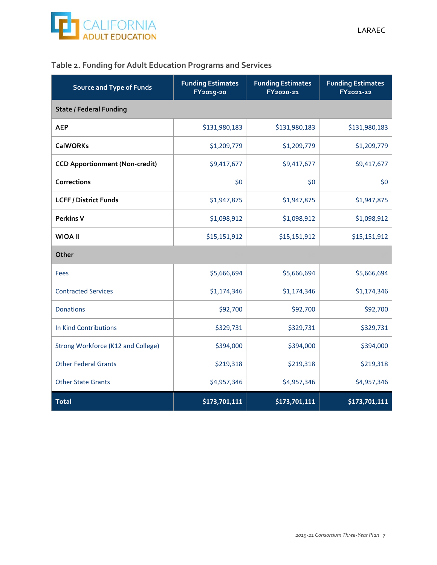

### **Table 2. Funding for Adult Education Programs and Services**

| <b>Source and Type of Funds</b>       | <b>Funding Estimates</b><br>FY2019-20 | <b>Funding Estimates</b><br>FY2020-21 | <b>Funding Estimates</b><br>FY2021-22 |  |  |  |
|---------------------------------------|---------------------------------------|---------------------------------------|---------------------------------------|--|--|--|
| <b>State / Federal Funding</b>        |                                       |                                       |                                       |  |  |  |
| <b>AEP</b>                            | \$131,980,183                         | \$131,980,183                         | \$131,980,183                         |  |  |  |
| <b>CalWORKs</b>                       | \$1,209,779                           | \$1,209,779                           | \$1,209,779                           |  |  |  |
| <b>CCD Apportionment (Non-credit)</b> | \$9,417,677                           | \$9,417,677                           | \$9,417,677                           |  |  |  |
| Corrections                           | \$0                                   | \$0                                   | \$0                                   |  |  |  |
| <b>LCFF / District Funds</b>          | \$1,947,875                           | \$1,947,875                           | \$1,947,875                           |  |  |  |
| <b>Perkins V</b>                      | \$1,098,912                           | \$1,098,912                           | \$1,098,912                           |  |  |  |
| <b>WIOA II</b>                        | \$15,151,912                          | \$15,151,912                          | \$15,151,912                          |  |  |  |
| Other                                 |                                       |                                       |                                       |  |  |  |
| <b>Fees</b>                           | \$5,666,694                           | \$5,666,694                           | \$5,666,694                           |  |  |  |
| <b>Contracted Services</b>            | \$1,174,346                           | \$1,174,346                           | \$1,174,346                           |  |  |  |
| <b>Donations</b>                      | \$92,700                              | \$92,700                              | \$92,700                              |  |  |  |
| In Kind Contributions                 | \$329,731                             | \$329,731                             | \$329,731                             |  |  |  |
| Strong Workforce (K12 and College)    | \$394,000                             | \$394,000                             | \$394,000                             |  |  |  |
| <b>Other Federal Grants</b>           | \$219,318                             | \$219,318                             | \$219,318                             |  |  |  |
| <b>Other State Grants</b>             | \$4,957,346                           | \$4,957,346                           | \$4,957,346                           |  |  |  |
| <b>Total</b>                          | \$173,701,111                         | \$173,701,111                         | \$173,701,111                         |  |  |  |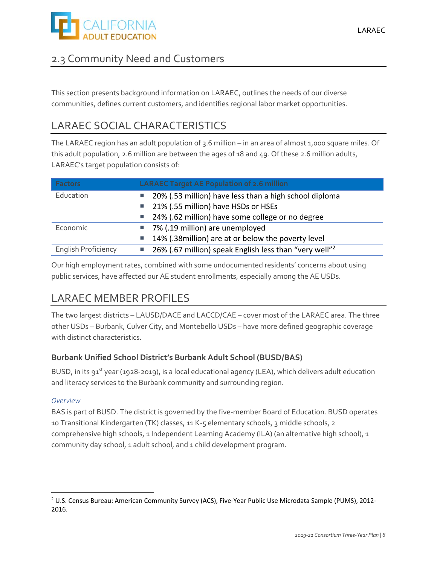

### 2.3 Community Need and Customers

This section presents background information on LARAEC, outlines the needs of our diverse communities, defines current customers, and identifies regional labor market opportunities.

### LARAEC SOCIAL CHARACTERISTICS

The LARAEC region has an adult population of 3.6 million – in an area of almost 1,000 square miles. Of this adult population, 2.6 million are between the ages of 18 and 49. Of these 2.6 million adults, LARAEC's target population consists of:

| <b>Factors</b>                                                      | <b>LARAEC Target AE Population of 2.6 million</b>                        |
|---------------------------------------------------------------------|--------------------------------------------------------------------------|
| Education<br>20% (.53 million) have less than a high school diploma |                                                                          |
|                                                                     | 21% (.55 million) have HSDs or HSEs<br><b>I</b>                          |
|                                                                     | 24% (.62 million) have some college or no degree<br>u.                   |
| Economic                                                            | 7% (.19 million) are unemployed                                          |
|                                                                     | 14% (.38 million) are at or below the poverty level<br>L.                |
| <b>English Proficiency</b>                                          | 26% (.67 million) speak English less than "very well" <sup>2</sup><br>H. |

Our high employment rates, combined with some undocumented residents' concerns about using public services, have affected our AE student enrollments, especially among the AE USDs.

### LARAEC MEMBER PROFILES

The two largest districts – LAUSD/DACE and LACCD/CAE – cover most of the LARAEC area. The three other USDs – Burbank, Culver City, and Montebello USDs – have more defined geographic coverage with distinct characteristics.

### **Burbank Unified School District's Burbank Adult School (BUSD/BAS)**

BUSD, in its 91<sup>st</sup> year (1928-2019), is a local educational agency (LEA), which delivers adult education and literacy services to the Burbank community and surrounding region.

### *Overview*

<u> 1989 - Johann Barbara, martxa alemani</u>ar alemaniar alemaniar alemaniar alemaniar alemaniar alemaniar alemaniar<br>1980 - La Carlo Carlo Carlo Carlo Carlo Carlo Carlo Carlo Carlo Carlo Carlo Carlo Carlo Carlo Carlo Carlo Car

BAS is part of BUSD. The district is governed by the five-member Board of Education. BUSD operates 10 Transitional Kindergarten (TK) classes, 11 K‐5 elementary schools, 3 middle schools, 2 comprehensive high schools, 1 Independent Learning Academy (ILA) (an alternative high school), 1 community day school, 1 adult school, and 1 child development program.

<sup>&</sup>lt;sup>2</sup> U.S. Census Bureau: American Community Survey (ACS), Five-Year Public Use Microdata Sample (PUMS), 2012-2016.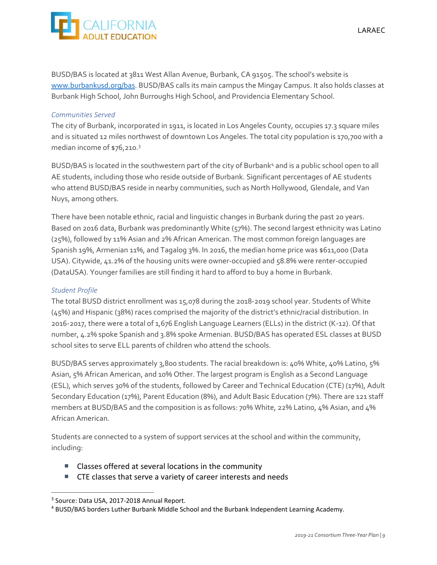

BUSD/BAS is located at 3811 West Allan Avenue, Burbank, CA 91505. The school's website is www.burbankusd.org/bas. BUSD/BAS calls its main campus the Mingay Campus. It also holds classes at Burbank High School, John Burroughs High School, and Providencia Elementary School.

#### *Communities Served*

The city of Burbank, incorporated in 1911, is located in Los Angeles County, occupies 17.3 square miles and is situated 12 miles northwest of downtown Los Angeles. The total city population is 170,700 with a median income of \$76,210.3

BUSD/BAS is located in the southwestern part of the city of Burbank<sup>4</sup> and is a public school open to all AE students, including those who reside outside of Burbank. Significant percentages of AE students who attend BUSD/BAS reside in nearby communities, such as North Hollywood, Glendale, and Van Nuys, among others.

There have been notable ethnic, racial and linguistic changes in Burbank during the past 20 years. Based on 2016 data, Burbank was predominantly White (57%). The second largest ethnicity was Latino (25%), followed by 11% Asian and 2% African American. The most common foreign languages are Spanish 19%, Armenian 11%, and Tagalog 3%. In 2016, the median home price was \$611,000 (Data USA). Citywide, 41.2% of the housing units were owner‐occupied and 58.8% were renter‐occupied (DataUSA). Younger families are still finding it hard to afford to buy a home in Burbank.

#### *Student Profile*

The total BUSD district enrollment was 15,078 during the 2018‐2019 school year. Students of White (45%) and Hispanic (38%) races comprised the majority of the district's ethnic/racial distribution. In 2016‐2017, there were a total of 1,676 English Language Learners (ELLs) in the district (K‐12). Of that number, 4.2% spoke Spanish and 3.8% spoke Armenian. BUSD/BAS has operated ESL classes at BUSD school sites to serve ELL parents of children who attend the schools.

BUSD/BAS serves approximately 3,800 students. The racial breakdown is: 40% White, 40% Latino, 5% Asian, 5% African American, and 10% Other. The largest program is English as a Second Language (ESL), which serves 30% of the students, followed by Career and Technical Education (CTE) (17%), Adult Secondary Education (17%), Parent Education (8%), and Adult Basic Education (7%). There are 121 staff members at BUSD/BAS and the composition is as follows: 70% White, 22% Latino, 4% Asian, and 4% African American.

Students are connected to a system of support services at the school and within the community, including:

- Classes offered at several locations in the community
- CTE classes that serve a variety of career interests and needs

<u> 1989 - Johann Barbara, martxa alemani</u>ar alemaniar alemaniar alemaniar alemaniar alemaniar alemaniar alemaniar<br>1980 - La Carlo Carlo Carlo Carlo Carlo Carlo Carlo Carlo Carlo Carlo Carlo Carlo Carlo Carlo Carlo Carlo Car

<sup>3</sup> Source: Data USA, 2017‐2018 Annual Report.

<sup>4</sup> BUSD/BAS borders Luther Burbank Middle School and the Burbank Independent Learning Academy.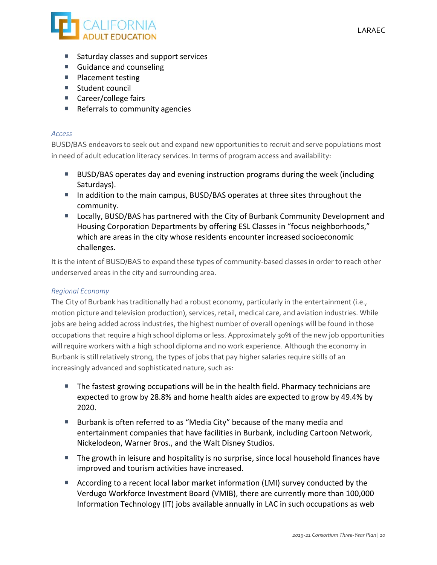

- Saturday classes and support services
- Guidance and counseling
- Placement testing
- Student council
- Career/college fairs
- $\blacksquare$  Referrals to community agencies

#### *Access*

BUSD/BAS endeavors to seek out and expand new opportunities to recruit and serve populations most in need of adult education literacy services. In terms of program access and availability:

- BUSD/BAS operates day and evening instruction programs during the week (including Saturdays).
- In addition to the main campus, BUSD/BAS operates at three sites throughout the community.
- Locally, BUSD/BAS has partnered with the City of Burbank Community Development and Housing Corporation Departments by offering ESL Classes in "focus neighborhoods," which are areas in the city whose residents encounter increased socioeconomic challenges.

It is the intent of BUSD/BAS to expand these types of community-based classes in order to reach other underserved areas in the city and surrounding area.

### *Regional Economy*

The City of Burbank has traditionally had a robust economy, particularly in the entertainment (i.e., motion picture and television production), services, retail, medical care, and aviation industries. While jobs are being added across industries, the highest number of overall openings will be found in those occupations that require a high school diploma or less. Approximately 30% of the new job opportunities will require workers with a high school diploma and no work experience. Although the economy in Burbank is still relatively strong, the types of jobs that pay higher salaries require skills of an increasingly advanced and sophisticated nature, such as:

- The fastest growing occupations will be in the health field. Pharmacy technicians are expected to grow by 28.8% and home health aides are expected to grow by 49.4% by 2020.
- Burbank is often referred to as "Media City" because of the many media and entertainment companies that have facilities in Burbank, including Cartoon Network, Nickelodeon, Warner Bros., and the Walt Disney Studios.
- The growth in leisure and hospitality is no surprise, since local household finances have improved and tourism activities have increased.
- According to a recent local labor market information (LMI) survey conducted by the Verdugo Workforce Investment Board (VMIB), there are currently more than 100,000 Information Technology (IT) jobs available annually in LAC in such occupations as web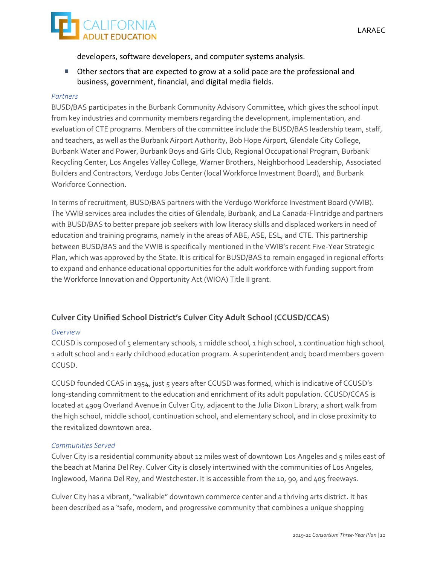

developers, software developers, and computer systems analysis.

 Other sectors that are expected to grow at a solid pace are the professional and business, government, financial, and digital media fields.

### *Partners*

BUSD/BAS participates in the Burbank Community Advisory Committee, which gives the school input from key industries and community members regarding the development, implementation, and evaluation of CTE programs. Members of the committee include the BUSD/BAS leadership team, staff, and teachers, as well as the Burbank Airport Authority, Bob Hope Airport, Glendale City College, Burbank Water and Power, Burbank Boys and Girls Club, Regional Occupational Program, Burbank Recycling Center, Los Angeles Valley College, Warner Brothers, Neighborhood Leadership, Associated Builders and Contractors, Verdugo Jobs Center (local Workforce Investment Board), and Burbank Workforce Connection.

In terms of recruitment, BUSD/BAS partners with the Verdugo Workforce Investment Board (VWIB). The VWIB services area includes the cities of Glendale, Burbank, and La Canada‐Flintridge and partners with BUSD/BAS to better prepare job seekers with low literacy skills and displaced workers in need of education and training programs, namely in the areas of ABE, ASE, ESL, and CTE. This partnership between BUSD/BAS and the VWIB is specifically mentioned in the VWIB's recent Five‐Year Strategic Plan, which was approved by the State. It is critical for BUSD/BAS to remain engaged in regional efforts to expand and enhance educational opportunities for the adult workforce with funding support from the Workforce Innovation and Opportunity Act (WIOA) Title II grant.

### **Culver City Unified School District's Culver City Adult School (CCUSD/CCAS)**

### *Overview*

CCUSD is composed of 5 elementary schools, 1 middle school, 1 high school, 1 continuation high school, 1 adult school and 1 early childhood education program. A superintendent and5 board members govern CCUSD.

CCUSD founded CCAS in 1954, just 5 years after CCUSD was formed, which is indicative of CCUSD's long-standing commitment to the education and enrichment of its adult population. CCUSD/CCAS is located at 4909 Overland Avenue in Culver City, adjacent to the Julia Dixon Library; a short walk from the high school, middle school, continuation school, and elementary school, and in close proximity to the revitalized downtown area.

### *Communities Served*

Culver City is a residential community about 12 miles west of downtown Los Angeles and 5 miles east of the beach at Marina Del Rey. Culver City is closely intertwined with the communities of Los Angeles, Inglewood, Marina Del Rey, and Westchester. It is accessible from the 10, 90, and 405 freeways.

Culver City has a vibrant, "walkable" downtown commerce center and a thriving arts district. It has been described as a "safe, modern, and progressive community that combines a unique shopping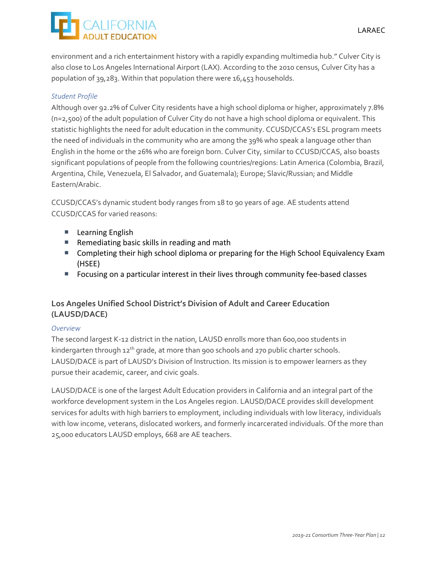environment and a rich entertainment history with a rapidly expanding multimedia hub." Culver City is also close to Los Angeles International Airport (LAX). According to the 2010 census, Culver City has a population of 39,283. Within that population there were 16,453 households.

### *Student Profile*

Although over 92.2% of Culver City residents have a high school diploma or higher, approximately 7.8% (n=2,500) of the adult population of Culver City do not have a high school diploma or equivalent. This statistic highlights the need for adult education in the community. CCUSD/CCAS's ESL program meets the need of individuals in the community who are among the 39% who speak a language other than English in the home or the 26% who are foreign born. Culver City, similar to CCUSD/CCAS, also boasts significant populations of people from the following countries/regions: Latin America (Colombia, Brazil, Argentina, Chile, Venezuela, El Salvador, and Guatemala); Europe; Slavic/Russian; and Middle Eastern/Arabic.

CCUSD/CCAS's dynamic student body ranges from 18 to 90 years of age. AE students attend CCUSD/CCAS for varied reasons:

- **Learning English**
- Remediating basic skills in reading and math
- Completing their high school diploma or preparing for the High School Equivalency Exam (HSEE)
- Focusing on a particular interest in their lives through community fee-based classes

### **Los Angeles Unified School District's Division of Adult and Career Education (LAUSD/DACE)**

### *Overview*

The second largest K‐12 district in the nation, LAUSD enrolls more than 600,000 students in kindergarten through 12<sup>th</sup> grade, at more than 900 schools and 270 public charter schools. LAUSD/DACE is part of LAUSD's Division of Instruction. Its mission is to empower learners as they pursue their academic, career, and civic goals.

LAUSD/DACE is one of the largest Adult Education providers in California and an integral part of the workforce development system in the Los Angeles region. LAUSD/DACE provides skill development services for adults with high barriers to employment, including individuals with low literacy, individuals with low income, veterans, dislocated workers, and formerly incarcerated individuals. Of the more than 25,000 educators LAUSD employs, 668 are AE teachers.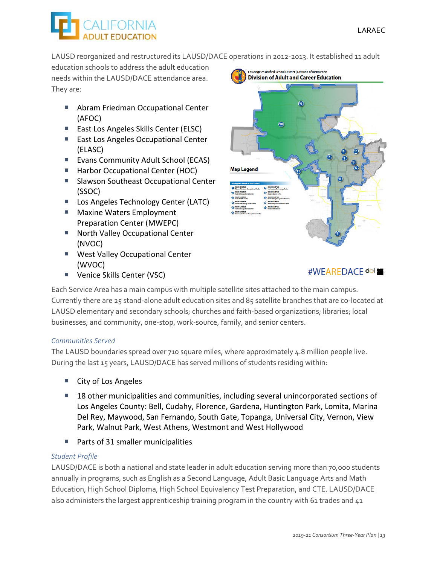LAUSD reorganized and restructured its LAUSD/DACE operations in 2012‐2013. It established 11 adult

education schools to address the adult education needs within the LAUSD/DACE attendance area. They are:

- Abram Friedman Occupational Center (AFOC)
- East Los Angeles Skills Center (ELSC)
- East Los Angeles Occupational Center (ELASC)
- Evans Community Adult School (ECAS)
- Harbor Occupational Center (HOC)
- Slawson Southeast Occupational Center (SSOC)
- Los Angeles Technology Center (LATC)
- **Maxine Waters Employment** Preparation Center (MWEPC)
- North Valley Occupational Center (NVOC)
- **West Valley Occupational Center** (WVOC)
- Venice Skills Center (VSC)



### #WEAREDACE doi

Each Service Area has a main campus with multiple satellite sites attached to the main campus. Currently there are 25 stand‐alone adult education sites and 85 satellite branches that are co‐located at LAUSD elementary and secondary schools; churches and faith-based organizations; libraries; local businesses; and community, one‐stop, work‐source, family, and senior centers.

### *Communities Served*

The LAUSD boundaries spread over 710 square miles, where approximately 4.8 million people live. During the last 15 years, LAUSD/DACE has served millions of students residing within:

- City of Los Angeles
- 18 other municipalities and communities, including several unincorporated sections of Los Angeles County: Bell, Cudahy, Florence, Gardena, Huntington Park, Lomita, Marina Del Rey, Maywood, San Fernando, South Gate, Topanga, Universal City, Vernon, View Park, Walnut Park, West Athens, Westmont and West Hollywood
- Parts of 31 smaller municipalities

### *Student Profile*

LAUSD/DACE is both a national and state leader in adult education serving more than 70,000 students annually in programs, such as English as a Second Language, Adult Basic Language Arts and Math Education, High School Diploma, High School Equivalency Test Preparation, and CTE. LAUSD/DACE also administers the largest apprenticeship training program in the country with 61 trades and 41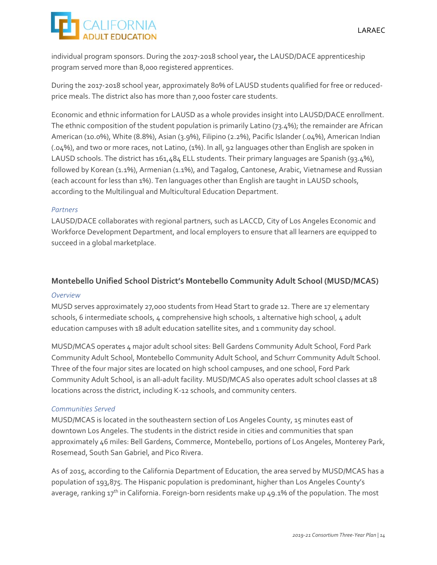individual program sponsors. During the 2017‐2018 school year**,** the LAUSD/DACE apprenticeship program served more than 8,000 registered apprentices.

During the 2017-2018 school year, approximately 80% of LAUSD students qualified for free or reducedprice meals. The district also has more than 7,000 foster care students.

Economic and ethnic information for LAUSD as a whole provides insight into LAUSD/DACE enrollment. The ethnic composition of the student population is primarily Latino (73.4%); the remainder are African American (10.0%), White (8.8%), Asian (3.9%), Filipino (2.2%), Pacific Islander (.04%), American Indian (.04%), and two or more races, not Latino, (1%). In all, 92 languages other than English are spoken in LAUSD schools. The district has 161,484 ELL students. Their primary languages are Spanish (93.4%), followed by Korean (1.1%), Armenian (1.1%), and Tagalog, Cantonese, Arabic, Vietnamese and Russian (each account for less than 1%). Ten languages other than English are taught in LAUSD schools, according to the Multilingual and Multicultural Education Department.

### *Partners*

LAUSD/DACE collaborates with regional partners, such as LACCD, City of Los Angeles Economic and Workforce Development Department, and local employers to ensure that all learners are equipped to succeed in a global marketplace.

### **Montebello Unified School District's Montebello Community Adult School (MUSD/MCAS)**

### *Overview*

MUSD serves approximately 27,000 students from Head Start to grade 12. There are 17 elementary schools, 6 intermediate schools, 4 comprehensive high schools, 1 alternative high school, 4 adult education campuses with 18 adult education satellite sites, and 1 community day school.

MUSD/MCAS operates 4 major adult school sites: Bell Gardens Community Adult School, Ford Park Community Adult School, Montebello Community Adult School, and Schurr Community Adult School. Three of the four major sites are located on high school campuses, and one school, Ford Park Community Adult School, is an all‐adult facility. MUSD/MCAS also operates adult school classes at 18 locations across the district, including K‐12 schools, and community centers.

### *Communities Served*

MUSD/MCAS is located in the southeastern section of Los Angeles County, 15 minutes east of downtown Los Angeles. The students in the district reside in cities and communities that span approximately 46 miles: Bell Gardens, Commerce, Montebello, portions of Los Angeles, Monterey Park, Rosemead, South San Gabriel, and Pico Rivera.

As of 2015, according to the California Department of Education, the area served by MUSD/MCAS has a population of 193,875. The Hispanic population is predominant, higher than Los Angeles County's average, ranking  $17<sup>th</sup>$  in California. Foreign-born residents make up 49.1% of the population. The most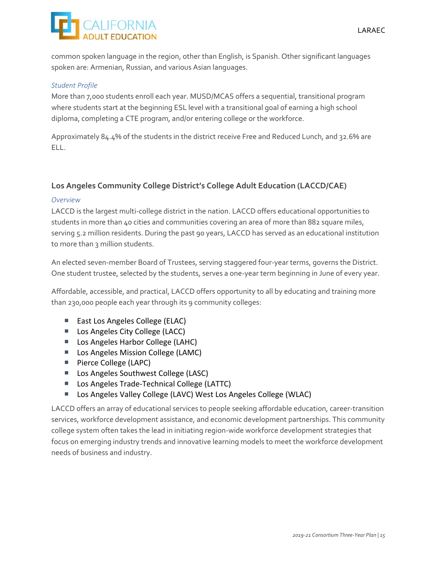

common spoken language in the region, other than English, is Spanish. Other significant languages spoken are: Armenian, Russian, and various Asian languages.

#### *Student Profile*

More than 7,000 students enroll each year. MUSD/MCAS offers a sequential, transitional program where students start at the beginning ESL level with a transitional goal of earning a high school diploma, completing a CTE program, and/or entering college or the workforce.

Approximately 84.4% of the students in the district receive Free and Reduced Lunch, and 32.6% are ELL.

### **Los Angeles Community College District's College Adult Education (LACCD/CAE)**

#### *Overview*

LACCD is the largest multi‐college district in the nation. LACCD offers educational opportunities to students in more than 40 cities and communities covering an area of more than 882 square miles, serving 5.2 million residents. During the past 90 years, LACCD has served as an educational institution to more than 3 million students.

An elected seven-member Board of Trustees, serving staggered four-year terms, governs the District. One student trustee, selected by the students, serves a one‐year term beginning in June of every year.

Affordable, accessible, and practical, LACCD offers opportunity to all by educating and training more than 230,000 people each year through its 9 community colleges:

- East Los Angeles College (ELAC)
- Los Angeles City College (LACC)
- Los Angeles Harbor College (LAHC)
- Los Angeles Mission College (LAMC)
- Pierce College (LAPC)
- Los Angeles Southwest College (LASC)
- Los Angeles Trade-Technical College (LATTC)
- Los Angeles Valley College (LAVC) West Los Angeles College (WLAC)

LACCD offers an array of educational services to people seeking affordable education, career‐transition services, workforce development assistance, and economic development partnerships. This community college system often takes the lead in initiating region‐wide workforce development strategies that focus on emerging industry trends and innovative learning models to meet the workforce development needs of business and industry.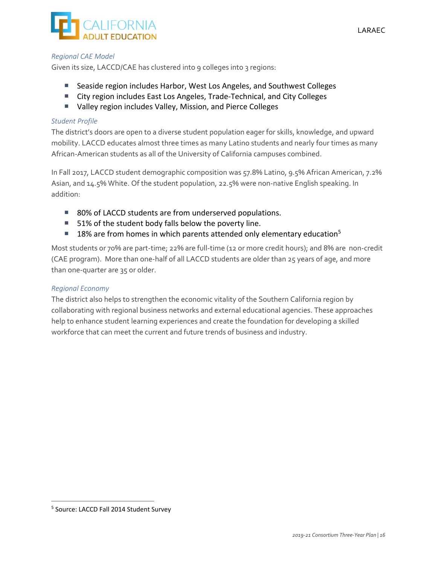

#### *Regional CAE Model*

Given its size, LACCD/CAE has clustered into 9 colleges into 3 regions:

- Seaside region includes Harbor, West Los Angeles, and Southwest Colleges
- City region includes East Los Angeles, Trade-Technical, and City Colleges
- Valley region includes Valley, Mission, and Pierce Colleges

#### *Student Profile*

The district's doors are open to a diverse student population eager for skills, knowledge, and upward mobility. LACCD educates almost three times as many Latino students and nearly four times as many African‐American students as all of the University of California campuses combined.

In Fall 2017, LACCD student demographic composition was 57.8% Latino, 9.5% African American, 7.2% Asian, and 14.5% White. Of the student population, 22.5% were non‐native English speaking. In addition:

- 80% of LACCD students are from underserved populations.
- 51% of the student body falls below the poverty line.
- **18% are from homes in which parents attended only elementary education**<sup>5</sup>

Most students or 70% are part-time; 22% are full-time (12 or more credit hours); and 8% are non-credit (CAE program). More than one‐half of all LACCD students are older than 25 years of age, and more than one‐quarter are 35 or older.

#### *Regional Economy*

The district also helps to strengthen the economic vitality of the Southern California region by collaborating with regional business networks and external educational agencies. These approaches help to enhance student learning experiences and create the foundation for developing a skilled workforce that can meet the current and future trends of business and industry.

<sup>5</sup> Source: LACCD Fall 2014 Student Survey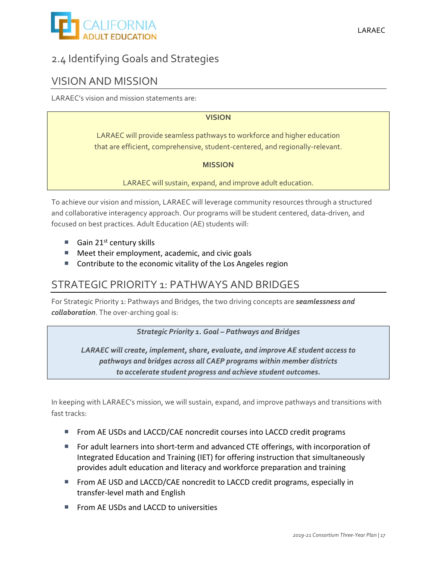

### 2.4 Identifying Goals and Strategies

### VISION AND MISSION

LARAEC's vision and mission statements are:

### **VISION**

LARAEC will provide seamless pathways to workforce and higher education that are efficient, comprehensive, student‐centered, and regionally‐relevant.

#### **MISSION**

LARAEC will sustain, expand, and improve adult education.

To achieve our vision and mission, LARAEC will leverage community resources through a structured and collaborative interagency approach. Our programs will be student centered, data-driven, and focused on best practices. Adult Education (AE) students will:

- Gain  $21^{st}$  century skills
- Meet their employment, academic, and civic goals
- Contribute to the economic vitality of the Los Angeles region

### STRATEGIC PRIORITY 1: PATHWAYS AND BRIDGES

For Strategic Priority 1: Pathways and Bridges, the two driving concepts are *seamlessness and collaboration*. The over‐arching goal is:

*Strategic Priority 1. Goal – Pathways and Bridges*

*LARAEC will create, implement, share, evaluate, and improve AE student access to pathways and bridges across all CAEP programs within member districts to accelerate student progress and achieve student outcomes.*

In keeping with LARAEC's mission, we will sustain, expand, and improve pathways and transitions with fast tracks:

- From AE USDs and LACCD/CAE noncredit courses into LACCD credit programs
- For adult learners into short-term and advanced CTE offerings, with incorporation of Integrated Education and Training (IET) for offering instruction that simultaneously provides adult education and literacy and workforce preparation and training
- **From AE USD and LACCD/CAE noncredit to LACCD credit programs, especially in** transfer‐level math and English
- **FICAL FROM AE USDs and LACCD to universities**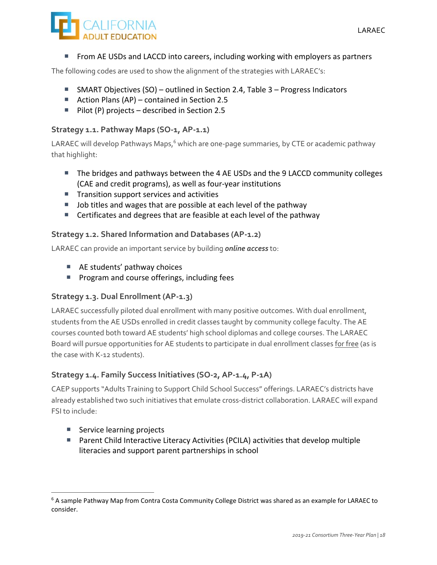

From AE USDs and LACCD into careers, including working with employers as partners

The following codes are used to show the alignment of the strategies with LARAEC's:

- SMART Objectives (SO) outlined in Section 2.4, Table 3 Progress Indicators
- Action Plans (AP) contained in Section 2.5
- Pilot (P) projects described in Section 2.5

### **Strategy 1.1. Pathway Maps (SO‐1, AP‐1.1)**

LARAEC will develop Pathways Maps, $^6$  which are one-page summaries, by CTE or academic pathway that highlight:

- The bridges and pathways between the 4 AE USDs and the 9 LACCD community colleges (CAE and credit programs), as well as four‐year institutions
- $\blacksquare$  Transition support services and activities
- Job titles and wages that are possible at each level of the pathway
- Certificates and degrees that are feasible at each level of the pathway

### **Strategy 1.2. Shared Information and Databases (AP‐1.2)**

LARAEC can provide an important service by building *online access* to:

- AE students' pathway choices
- **Program and course offerings, including fees**

### **Strategy 1.3. Dual Enrollment (AP‐1.3)**

LARAEC successfully piloted dual enrollment with many positive outcomes. With dual enrollment, students from the AE USDs enrolled in credit classes taught by community college faculty. The AE courses counted both toward AE students' high school diplomas and college courses. The LARAEC Board will pursue opportunities for AE students to participate in dual enrollment classes for free (as is the case with K‐12 students).

### **Strategy 1.4. Family Success Initiatives (SO‐2, AP‐1.4, P‐1A)**

CAEP supports "Adults Training to Support Child School Success" offerings. LARAEC's districts have already established two such initiatives that emulate cross-district collaboration. LARAEC will expand FSI to include:

■ Service learning projects

<u> 1989 - Johann Barbara, martxa alemani</u>ar alemaniar alemaniar alemaniar alemaniar alemaniar alemaniar alemaniar<br>1980 - La Carlo Carlo Carlo Carlo Carlo Carlo Carlo Carlo Carlo Carlo Carlo Carlo Carlo Carlo Carlo Carlo Car

■ Parent Child Interactive Literacy Activities (PCILA) activities that develop multiple literacies and support parent partnerships in school

<sup>&</sup>lt;sup>6</sup> A sample Pathway Map from Contra Costa Community College District was shared as an example for LARAEC to consider.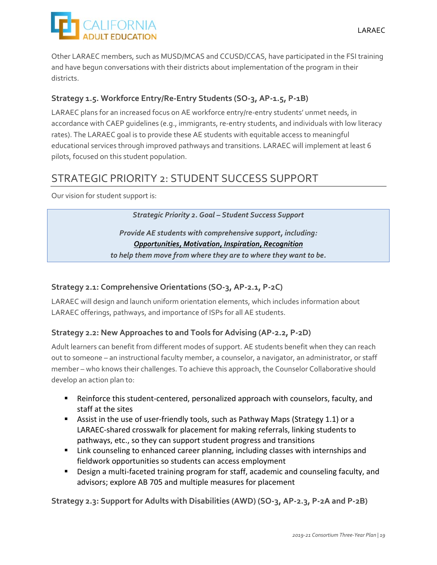

Other LARAEC members, such as MUSD/MCAS and CCUSD/CCAS, have participated in the FSI training and have begun conversations with their districts about implementation of the program in their districts.

### **Strategy 1.5. Workforce Entry/Re‐Entry Students (SO‐3, AP‐1.5, P‐1B)**

LARAEC plans for an increased focus on AE workforce entry/re-entry students' unmet needs, in accordance with CAEP guidelines (e.g., immigrants, re‐entry students, and individuals with low literacy rates). The LARAEC goal is to provide these AE students with equitable access to meaningful educational services through improved pathways and transitions. LARAEC will implement at least 6 pilots, focused on this student population.

### STRATEGIC PRIORITY 2: STUDENT SUCCESS SUPPORT

Our vision for student support is:

*Strategic Priority 2. Goal – Student Success Support*

*Provide AE students with comprehensive support, including: Opportunities, Motivation, Inspiration, Recognition*

*to help them move from where they are to where they want to be.*

### **Strategy 2.1: Comprehensive Orientations (SO‐3, AP‐2.1, P‐2C)**

LARAEC will design and launch uniform orientation elements, which includes information about LARAEC offerings, pathways, and importance of ISPs for all AE students.

### **Strategy 2.2: New Approaches to and Tools for Advising (AP‐2.2, P‐2D)**

Adult learners can benefit from different modes of support. AE students benefit when they can reach out to someone – an instructional faculty member, a counselor, a navigator, an administrator, or staff member – who knows their challenges. To achieve this approach, the Counselor Collaborative should develop an action plan to:

- Reinforce this student-centered, personalized approach with counselors, faculty, and staff at the sites
- Assist in the use of user-friendly tools, such as Pathway Maps (Strategy 1.1) or a LARAEC‐shared crosswalk for placement for making referrals, linking students to pathways, etc., so they can support student progress and transitions
- **EXT** Link counseling to enhanced career planning, including classes with internships and fieldwork opportunities so students can access employment
- Design a multi-faceted training program for staff, academic and counseling faculty, and advisors; explore AB 705 and multiple measures for placement

Strategy 2.3: Support for Adults with Disabilities (AWD) (SO-3, AP-2.3, P-2A and P-2B)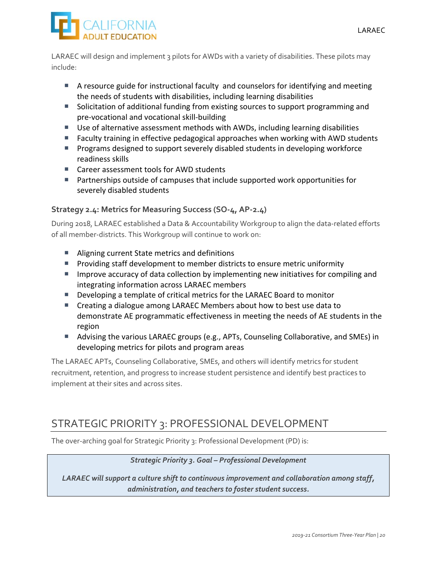

LARAEC will design and implement 3 pilots for AWDs with a variety of disabilities. These pilots may include:

- A resource guide for instructional faculty and counselors for identifying and meeting the needs of students with disabilities, including learning disabilities
- Solicitation of additional funding from existing sources to support programming and pre‐vocational and vocational skill‐building
- Use of alternative assessment methods with AWDs, including learning disabilities
- Faculty training in effective pedagogical approaches when working with AWD students
- **Programs designed to support severely disabled students in developing workforce** readiness skills
- Career assessment tools for AWD students
- Partnerships outside of campuses that include supported work opportunities for severely disabled students

### **Strategy 2.4: Metrics for Measuring Success (SO‐4, AP‐2.4)**

During 2018, LARAEC established a Data & Accountability Workgroup to align the data‐related efforts of all member‐districts. This Workgroup will continue to work on:

- Aligning current State metrics and definitions
- **Providing staff development to member districts to ensure metric uniformity**
- **IMPROVE ACCUPACY OF DATA COLLECTION BY IMPLEMENTION INCOVERGY AND IMAGE AND** IMPROVER and integrating information across LARAEC members
- Developing a template of critical metrics for the LARAEC Board to monitor
- Creating a dialogue among LARAEC Members about how to best use data to demonstrate AE programmatic effectiveness in meeting the needs of AE students in the region
- Advising the various LARAEC groups (e.g., APTs, Counseling Collaborative, and SMEs) in developing metrics for pilots and program areas

The LARAEC APTs, Counseling Collaborative, SMEs, and others will identify metrics for student recruitment, retention, and progress to increase student persistence and identify best practices to implement at their sites and across sites.

### STRATEGIC PRIORITY 3: PROFESSIONAL DEVELOPMENT

The over-arching goal for Strategic Priority 3: Professional Development (PD) is:

### *Strategic Priority 3. Goal – Professional Development*

*LARAEC will support a culture shift to continuous improvement and collaboration among staff, administration, and teachers to foster student success.*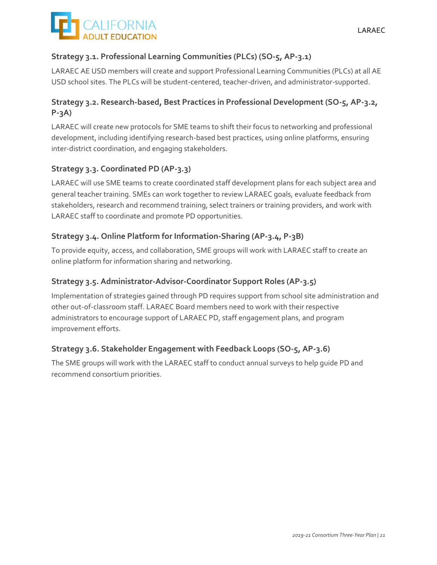

### **Strategy 3.1. Professional Learning Communities (PLCs) (SO‐5, AP‐3.1)**

LARAEC AE USD members will create and support Professional Learning Communities (PLCs) at all AE USD school sites. The PLCs will be student‐centered, teacher‐driven, and administrator‐supported.

### **Strategy 3.2. Research‐based, Best Practices in Professional Development (SO‐5, AP‐3.2, P‐3A)**

LARAEC will create new protocols for SME teams to shift their focus to networking and professional development, including identifying research-based best practices, using online platforms, ensuring inter‐district coordination, and engaging stakeholders.

### **Strategy 3.3. Coordinated PD (AP‐3.3)**

LARAEC will use SME teams to create coordinated staff development plans for each subject area and general teacher training. SMEs can work together to review LARAEC goals, evaluate feedback from stakeholders, research and recommend training, select trainers or training providers, and work with LARAEC staff to coordinate and promote PD opportunities.

### **Strategy 3.4. Online Platform for Information‐Sharing (AP‐3.4, P‐3B)**

To provide equity, access, and collaboration, SME groups will work with LARAEC staff to create an online platform for information sharing and networking.

### **Strategy 3.5. Administrator‐Advisor‐Coordinator Support Roles (AP‐3.5)**

Implementation of strategies gained through PD requires support from school site administration and other out‐of‐classroom staff. LARAEC Board members need to work with their respective administrators to encourage support of LARAEC PD, staff engagement plans, and program improvement efforts.

### **Strategy 3.6. Stakeholder Engagement with Feedback Loops (SO‐5, AP‐3.6)**

The SME groups will work with the LARAEC staff to conduct annual surveys to help guide PD and recommend consortium priorities.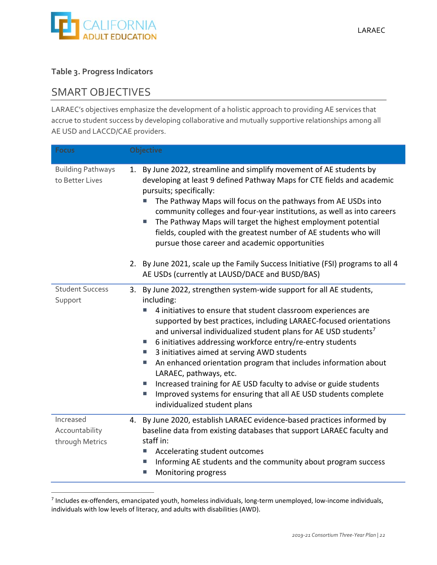

### **Table 3. Progress Indicators**

### SMART OBJECTIVES

<u> 1989 - Johann Barbara, martxa alemani</u>ar alemaniar alemaniar alemaniar alemaniar alemaniar alemaniar alemaniar<br>1980 - La Carlo Carlo Carlo Carlo Carlo Carlo Carlo Carlo Carlo Carlo Carlo Carlo Carlo Carlo Carlo Carlo Car

LARAEC's objectives emphasize the development of a holistic approach to providing AE services that accrue to student success by developing collaborative and mutually supportive relationships among all AE USD and LACCD/CAE providers.

| <b>Focus</b>                                   | Objective                                                                                                                                                                                                                                                                                                                                                                                                                                                                                                                                                                                                                                                                                                                                                                  |
|------------------------------------------------|----------------------------------------------------------------------------------------------------------------------------------------------------------------------------------------------------------------------------------------------------------------------------------------------------------------------------------------------------------------------------------------------------------------------------------------------------------------------------------------------------------------------------------------------------------------------------------------------------------------------------------------------------------------------------------------------------------------------------------------------------------------------------|
| <b>Building Pathways</b><br>to Better Lives    | 1. By June 2022, streamline and simplify movement of AE students by<br>developing at least 9 defined Pathway Maps for CTE fields and academic<br>pursuits; specifically:<br>The Pathway Maps will focus on the pathways from AE USDs into<br>community colleges and four-year institutions, as well as into careers<br>The Pathway Maps will target the highest employment potential<br>L.<br>fields, coupled with the greatest number of AE students who will<br>pursue those career and academic opportunities                                                                                                                                                                                                                                                           |
|                                                | 2. By June 2021, scale up the Family Success Initiative (FSI) programs to all 4<br>AE USDs (currently at LAUSD/DACE and BUSD/BAS)                                                                                                                                                                                                                                                                                                                                                                                                                                                                                                                                                                                                                                          |
| <b>Student Success</b><br>Support              | 3. By June 2022, strengthen system-wide support for all AE students,<br>including:<br>4 initiatives to ensure that student classroom experiences are<br>supported by best practices, including LARAEC-focused orientations<br>and universal individualized student plans for AE USD students <sup>7</sup><br>6 initiatives addressing workforce entry/re-entry students<br><b>College</b><br>3 initiatives aimed at serving AWD students<br><b>College</b><br>An enhanced orientation program that includes information about<br>T.<br>LARAEC, pathways, etc.<br>Increased training for AE USD faculty to advise or guide students<br>×.<br>Improved systems for ensuring that all AE USD students complete<br>$\mathcal{L}_{\mathcal{A}}$<br>individualized student plans |
| Increased<br>Accountability<br>through Metrics | 4. By June 2020, establish LARAEC evidence-based practices informed by<br>baseline data from existing databases that support LARAEC faculty and<br>staff in:<br>Accelerating student outcomes<br>L.<br>Informing AE students and the community about program success<br>L.<br>Monitoring progress                                                                                                                                                                                                                                                                                                                                                                                                                                                                          |

<sup>7</sup> Includes ex‐offenders, emancipated youth, homeless individuals, long‐term unemployed, low‐income individuals, individuals with low levels of literacy, and adults with disabilities (AWD).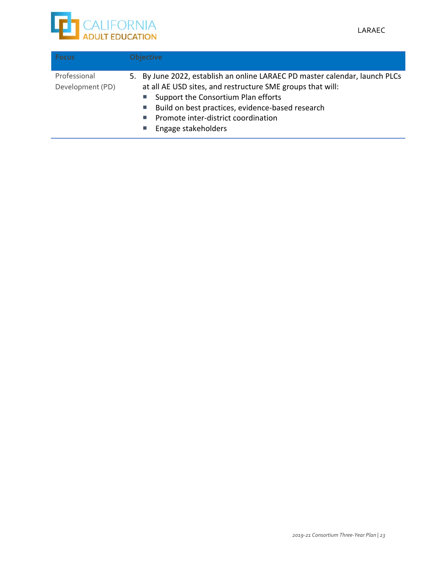

| <b>Focus</b>                     | <b>Objective</b>                                                                                                                                                                                                                                                                                                                          |
|----------------------------------|-------------------------------------------------------------------------------------------------------------------------------------------------------------------------------------------------------------------------------------------------------------------------------------------------------------------------------------------|
| Professional<br>Development (PD) | 5. By June 2022, establish an online LARAEC PD master calendar, launch PLCs<br>at all AE USD sites, and restructure SME groups that will:<br>■ Support the Consortium Plan efforts<br>Build on best practices, evidence-based research<br><b>College</b><br>Promote inter-district coordination<br><b>Contract</b><br>Engage stakeholders |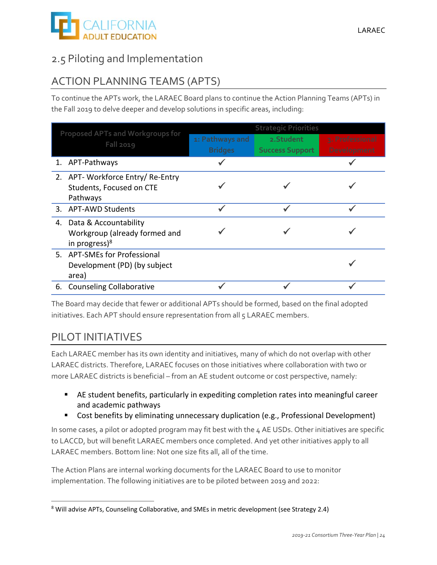

### 2.5 Piloting and Implementation

### ACTION PLANNING TEAMS (APTS)

To continue the APTs work, the LARAEC Board plans to continue the Action Planning Teams (APTs) in the Fall 2019 to delve deeper and develop solutions in specific areas, including:

| Proposed APTs and Workgroups for |                                                    |                 | <b>Strategic Priorities</b> |                 |
|----------------------------------|----------------------------------------------------|-----------------|-----------------------------|-----------------|
|                                  | <b>Fall 2019</b>                                   | 1: Pathways and | 2. Student                  | 3. Professional |
|                                  |                                                    | <b>Bridges</b>  | <b>Success Support</b>      | Development     |
|                                  | 1. APT-Pathways                                    |                 |                             |                 |
|                                  | 2. APT- Workforce Entry/ Re-Entry                  |                 |                             |                 |
|                                  | Students, Focused on CTE                           |                 |                             |                 |
|                                  | Pathways                                           |                 |                             |                 |
|                                  | 3. APT-AWD Students                                |                 |                             |                 |
|                                  | 4. Data & Accountability                           |                 |                             |                 |
|                                  | Workgroup (already formed and<br>in progress $)^8$ |                 |                             |                 |
|                                  | 5. APT-SMEs for Professional                       |                 |                             |                 |
|                                  | Development (PD) (by subject                       |                 |                             |                 |
|                                  | area)                                              |                 |                             |                 |
|                                  | 6. Counseling Collaborative                        |                 |                             |                 |

The Board may decide that fewer or additional APTs should be formed, based on the final adopted initiatives. Each APT should ensure representation from all 5 LARAEC members.

### PILOT INITIATIVES

Each LARAEC member has its own identity and initiatives, many of which do not overlap with other LARAEC districts. Therefore, LARAEC focuses on those initiatives where collaboration with two or more LARAEC districts is beneficial – from an AE student outcome or cost perspective, namely:

- AE student benefits, particularly in expediting completion rates into meaningful career and academic pathways
- Cost benefits by eliminating unnecessary duplication (e.g., Professional Development)

In some cases, a pilot or adopted program may fit best with the 4 AE USDs. Other initiatives are specific to LACCD, but will benefit LARAEC members once completed. And yet other initiatives apply to all LARAEC members. Bottom line: Not one size fits all, all of the time.

The Action Plans are internal working documents for the LARAEC Board to use to monitor implementation. The following initiatives are to be piloted between 2019 and 2022:

 <sup>8</sup> Will advise APTs, Counseling Collaborative, and SMEs in metric development (see Strategy 2.4)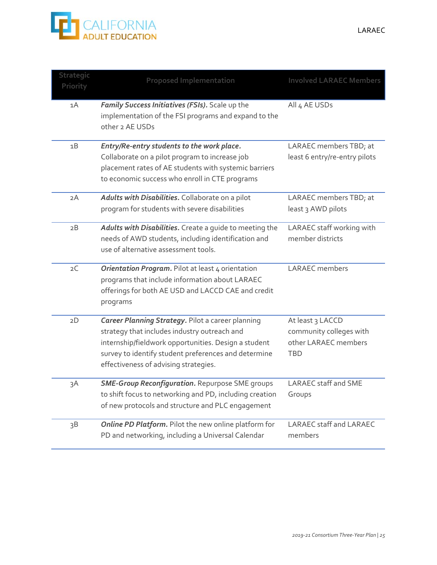

| Strategic<br>Priority | <b>Proposed Implementation</b>                                                                                                                                                                                                                                    | <b>Involved LARAEC Members</b>                                                    |
|-----------------------|-------------------------------------------------------------------------------------------------------------------------------------------------------------------------------------------------------------------------------------------------------------------|-----------------------------------------------------------------------------------|
| 1A                    | Family Success Initiatives (FSIs). Scale up the<br>implementation of the FSI programs and expand to the<br>other 2 AE USDs                                                                                                                                        | All 4 AE USDs                                                                     |
| 1B                    | Entry/Re-entry students to the work place.<br>Collaborate on a pilot program to increase job<br>placement rates of AE students with systemic barriers<br>to economic success who enroll in CTE programs                                                           | LARAEC members TBD; at<br>least 6 entry/re-entry pilots                           |
| 2A                    | Adults with Disabilities. Collaborate on a pilot<br>program for students with severe disabilities                                                                                                                                                                 | LARAEC members TBD; at<br>least 3 AWD pilots                                      |
| 2B                    | Adults with Disabilities. Create a guide to meeting the<br>needs of AWD students, including identification and<br>use of alternative assessment tools.                                                                                                            | LARAEC staff working with<br>member districts                                     |
| 2C                    | Orientation Program. Pilot at least 4 orientation<br>programs that include information about LARAEC<br>offerings for both AE USD and LACCD CAE and credit<br>programs                                                                                             | <b>LARAEC</b> members                                                             |
| 2D                    | <b>Career Planning Strategy. Pilot a career planning</b><br>strategy that includes industry outreach and<br>internship/fieldwork opportunities. Design a student<br>survey to identify student preferences and determine<br>effectiveness of advising strategies. | At least 3 LACCD<br>community colleges with<br>other LARAEC members<br><b>TBD</b> |
| зA                    | <b>SME-Group Reconfiguration.</b> Repurpose SME groups<br>to shift focus to networking and PD, including creation<br>of new protocols and structure and PLC engagement                                                                                            | <b>LARAEC</b> staff and SME<br>Groups                                             |
| 3B                    | Online PD Platform. Pilot the new online platform for<br>PD and networking, including a Universal Calendar                                                                                                                                                        | LARAEC staff and LARAEC<br>members                                                |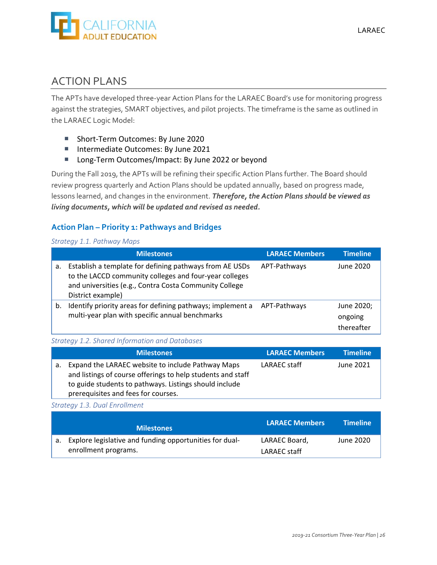

### ACTION PLANS

The APTs have developed three‐year Action Plans for the LARAEC Board's use for monitoring progress against the strategies, SMART objectives, and pilot projects. The timeframe is the same as outlined in the LARAEC Logic Model:

- Short-Term Outcomes: By June 2020
- Intermediate Outcomes: By June 2021
- Long-Term Outcomes/Impact: By June 2022 or beyond

During the Fall 2019, the APTs will be refining their specific Action Plans further. The Board should review progress quarterly and Action Plans should be updated annually, based on progress made, lessons learned, and changes in the environment. *Therefore, the Action Plans should be viewed as living documents, which will be updated and revised as needed.*

### **Action Plan – Priority 1: Pathways and Bridges**

#### *Strategy 1.1. Pathway Maps*

|    | <b>Milestones</b>                                                                                                                                                                                | <b>LARAEC Members</b> | <b>Timeline</b>                     |
|----|--------------------------------------------------------------------------------------------------------------------------------------------------------------------------------------------------|-----------------------|-------------------------------------|
| а. | Establish a template for defining pathways from AE USDs<br>to the LACCD community colleges and four-year colleges<br>and universities (e.g., Contra Costa Community College<br>District example) | APT-Pathways          | June 2020                           |
| b. | Identify priority areas for defining pathways; implement a<br>multi-year plan with specific annual benchmarks                                                                                    | APT-Pathways          | June 2020;<br>ongoing<br>thereafter |

#### *Strategy 1.2. Shared Information and Databases*

|    | <b>Milestones</b>                                                                                                                                                                                                 | <b>LARAEC Members</b> | <b>Timeline</b> |
|----|-------------------------------------------------------------------------------------------------------------------------------------------------------------------------------------------------------------------|-----------------------|-----------------|
| a. | Expand the LARAEC website to include Pathway Maps<br>and listings of course offerings to help students and staff<br>to guide students to pathways. Listings should include<br>prerequisites and fees for courses. | LARAEC staff          | June 2021       |

#### *Strategy 1.3. Dual Enrollment*

| <b>Milestones</b>                                          | <b>LARAEC Members</b> | <b>Timeline</b> |
|------------------------------------------------------------|-----------------------|-----------------|
| a. Explore legislative and funding opportunities for dual- | LARAEC Board,         | June 2020       |
| enrollment programs.                                       | LARAEC staff          |                 |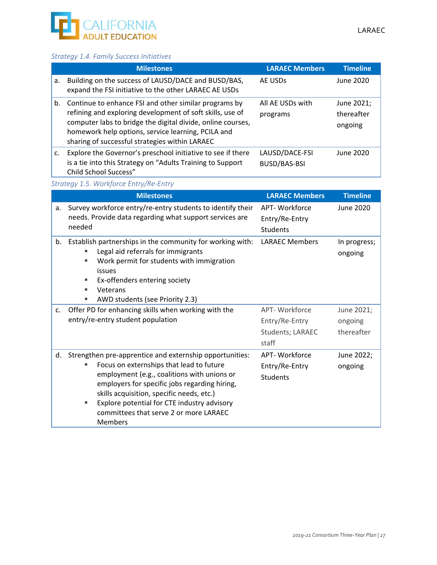

### *Strategy 1.4. Family Success Initiatives*

|    | <b>Milestones</b>                                                                                                                                                                                                                                                                         | <b>LARAEC Members</b>                 | <b>Timeline</b>                     |
|----|-------------------------------------------------------------------------------------------------------------------------------------------------------------------------------------------------------------------------------------------------------------------------------------------|---------------------------------------|-------------------------------------|
| a. | Building on the success of LAUSD/DACE and BUSD/BAS,<br>expand the FSI initiative to the other LARAEC AE USDs                                                                                                                                                                              | AE USDs                               | June 2020                           |
| b. | Continue to enhance FSI and other similar programs by<br>refining and exploring development of soft skills, use of<br>computer labs to bridge the digital divide, online courses,<br>homework help options, service learning, PCILA and<br>sharing of successful strategies within LARAEC | All AE USDs with<br>programs          | June 2021;<br>thereafter<br>ongoing |
| c. | Explore the Governor's preschool initiative to see if there<br>is a tie into this Strategy on "Adults Training to Support<br>Child School Success"                                                                                                                                        | LAUSD/DACE-FSI<br><b>BUSD/BAS-BSI</b> | June 2020                           |

#### *Strategy 1.5. Workforce Entry/Re‐Entry*

|             | <b>Milestones</b>                                                                                                                                                                                                                                                                                                                                                | <b>LARAEC Members</b>                                         | <b>Timeline</b>                     |
|-------------|------------------------------------------------------------------------------------------------------------------------------------------------------------------------------------------------------------------------------------------------------------------------------------------------------------------------------------------------------------------|---------------------------------------------------------------|-------------------------------------|
| a.          | Survey workforce entry/re-entry students to identify their<br>needs. Provide data regarding what support services are<br>needed                                                                                                                                                                                                                                  | APT- Workforce<br>Entry/Re-Entry<br><b>Students</b>           | June 2020                           |
| b.          | Establish partnerships in the community for working with:<br>Legal aid referrals for immigrants<br>Work permit for students with immigration<br>issues<br>Ex-offenders entering society<br>Veterans<br>AWD students (see Priority 2.3)<br>٠                                                                                                                      | <b>LARAEC Members</b>                                         | In progress;<br>ongoing             |
| $C_{\star}$ | Offer PD for enhancing skills when working with the<br>entry/re-entry student population                                                                                                                                                                                                                                                                         | APT- Workforce<br>Entry/Re-Entry<br>Students; LARAEC<br>staff | June 2021;<br>ongoing<br>thereafter |
| d.          | Strengthen pre-apprentice and externship opportunities:<br>Focus on externships that lead to future<br>employment (e.g., coalitions with unions or<br>employers for specific jobs regarding hiring,<br>skills acquisition, specific needs, etc.)<br>Explore potential for CTE industry advisory<br>٠<br>committees that serve 2 or more LARAEC<br><b>Members</b> | APT- Workforce<br>Entry/Re-Entry<br><b>Students</b>           | June 2022;<br>ongoing               |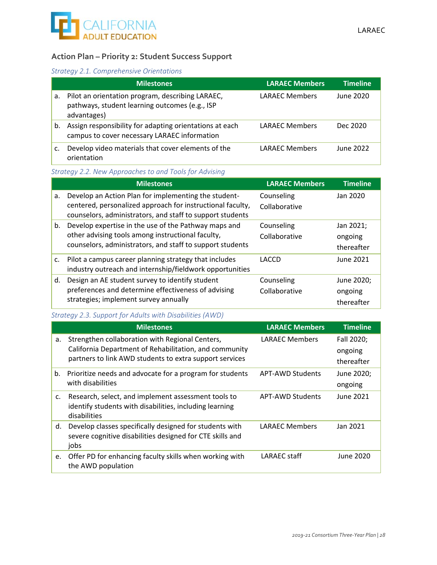### **Action Plan – Priority 2: Student Success Support**

#### *Strategy 2.1. Comprehensive Orientations*

|    | <b>Milestones</b>                                                                                                 | <b>LARAEC Members</b> | <b>Timeline</b> |
|----|-------------------------------------------------------------------------------------------------------------------|-----------------------|-----------------|
| a. | Pilot an orientation program, describing LARAEC,<br>pathways, student learning outcomes (e.g., ISP<br>advantages) | LARAEC Members        | June 2020       |
| b. | Assign responsibility for adapting orientations at each<br>campus to cover necessary LARAEC information           | <b>LARAEC Members</b> | Dec 2020        |
| c. | Develop video materials that cover elements of the<br>orientation                                                 | LARAEC Members        | June 2022       |

### *Strategy 2.2. New Approaches to and Tools for Advising*

|    | <b>Milestones</b>                                                                                                                                                               | <b>LARAEC Members</b>       | <b>Timeline</b>                     |
|----|---------------------------------------------------------------------------------------------------------------------------------------------------------------------------------|-----------------------------|-------------------------------------|
| a. | Develop an Action Plan for implementing the student-<br>centered, personalized approach for instructional faculty,<br>counselors, administrators, and staff to support students | Counseling<br>Collaborative | Jan 2020                            |
| b. | Develop expertise in the use of the Pathway maps and<br>other advising tools among instructional faculty,<br>counselors, administrators, and staff to support students          | Counseling<br>Collaborative | Jan 2021;<br>ongoing<br>thereafter  |
| c. | Pilot a campus career planning strategy that includes<br>industry outreach and internship/fieldwork opportunities                                                               | LACCD                       | June 2021                           |
| d. | Design an AE student survey to identify student<br>preferences and determine effectiveness of advising<br>strategies; implement survey annually                                 | Counseling<br>Collaborative | June 2020;<br>ongoing<br>thereafter |

### *Strategy 2.3. Support for Adults with Disabilities (AWD)*

|    | <b>Milestones</b>                                                                                                                                                    | <b>LARAEC Members</b> | <b>Timeline</b>                     |
|----|----------------------------------------------------------------------------------------------------------------------------------------------------------------------|-----------------------|-------------------------------------|
| a. | Strengthen collaboration with Regional Centers,<br>California Department of Rehabilitation, and community<br>partners to link AWD students to extra support services | <b>LARAEC Members</b> | Fall 2020;<br>ongoing<br>thereafter |
| b. | Prioritize needs and advocate for a program for students<br>with disabilities                                                                                        | APT-AWD Students      | June 2020;<br>ongoing               |
| c. | Research, select, and implement assessment tools to<br>identify students with disabilities, including learning<br>disabilities                                       | APT-AWD Students      | June 2021                           |
| d. | Develop classes specifically designed for students with<br>severe cognitive disabilities designed for CTE skills and<br>jobs                                         | <b>LARAEC Members</b> | Jan 2021                            |
| e. | Offer PD for enhancing faculty skills when working with<br>the AWD population                                                                                        | LARAEC staff          | June 2020                           |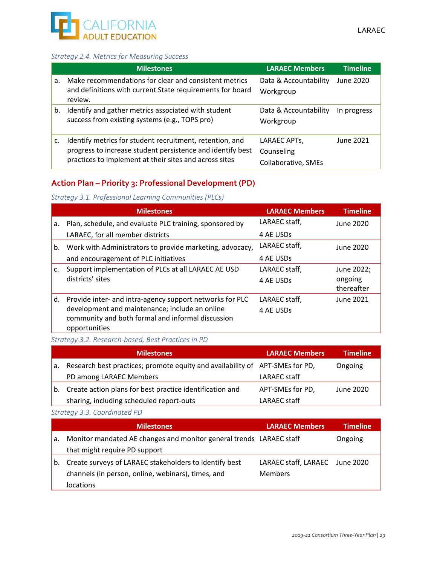### *Strategy 2.4. Metrics for Measuring Success*

|    | <b>Milestones</b>                                                                                                                                                                | <b>LARAEC Members</b>                                          | <b>Timeline</b> |
|----|----------------------------------------------------------------------------------------------------------------------------------------------------------------------------------|----------------------------------------------------------------|-----------------|
| a. | Make recommendations for clear and consistent metrics<br>and definitions with current State requirements for board<br>review.                                                    | Data & Accountability<br>Workgroup                             | June 2020       |
| b. | Identify and gather metrics associated with student<br>success from existing systems (e.g., TOPS pro)                                                                            | Data & Accountability<br>Workgroup                             | In progress     |
| c. | Identify metrics for student recruitment, retention, and<br>progress to increase student persistence and identify best<br>practices to implement at their sites and across sites | LARAEC APT <sub>S</sub> ,<br>Counseling<br>Collaborative, SMEs | June 2021       |

### **Action Plan – Priority 3: Professional Development (PD)**

### *Strategy 3.1. Professional Learning Communities (PLCs)*

|    | <b>Milestones</b>                                                                                                    | <b>LARAEC Members</b> | <b>Timeline</b>       |
|----|----------------------------------------------------------------------------------------------------------------------|-----------------------|-----------------------|
| a. | Plan, schedule, and evaluate PLC training, sponsored by                                                              | LARAEC staff,         | June 2020             |
|    | LARAEC, for all member districts                                                                                     | 4 AE USDs             |                       |
| b. | Work with Administrators to provide marketing, advocacy,                                                             | LARAEC staff,         | June 2020             |
|    | and encouragement of PLC initiatives                                                                                 | 4 AE USDs             |                       |
| c. | Support implementation of PLCs at all LARAEC AE USD                                                                  | LARAEC staff,         | June 2022;            |
|    | districts' sites                                                                                                     | 4 AE USDs             | ongoing<br>thereafter |
| d. | Provide inter- and intra-agency support networks for PLC                                                             | LARAEC staff,         | June 2021             |
|    | development and maintenance; include an online<br>community and both formal and informal discussion<br>opportunities | 4 AE USDs             |                       |

*Strategy 3.2. Research‐based, Best Practices in PD* 

|    | <b>Milestones</b>                                                            | <b>LARAEC Members</b> | <b>Timeline</b> |
|----|------------------------------------------------------------------------------|-----------------------|-----------------|
| a. | Research best practices; promote equity and availability of APT-SMEs for PD, |                       | Ongoing         |
|    | PD among LARAEC Members                                                      | LARAEC staff          |                 |
| b. | Create action plans for best practice identification and                     | APT-SMEs for PD,      | June 2020       |
|    | sharing, including scheduled report-outs                                     | LARAEC staff          |                 |

*Strategy 3.3. Coordinated PD* 

|    | <b>Milestones</b>                                                   | <b>LARAEC Members</b>          | <b>Timeline</b> |
|----|---------------------------------------------------------------------|--------------------------------|-----------------|
| a. | Monitor mandated AE changes and monitor general trends LARAEC staff |                                | Ongoing         |
|    | that might require PD support                                       |                                |                 |
| b. | Create surveys of LARAEC stakeholders to identify best              | LARAEC staff, LARAEC June 2020 |                 |
|    | channels (in person, online, webinars), times, and                  | <b>Members</b>                 |                 |
|    | <i>locations</i>                                                    |                                |                 |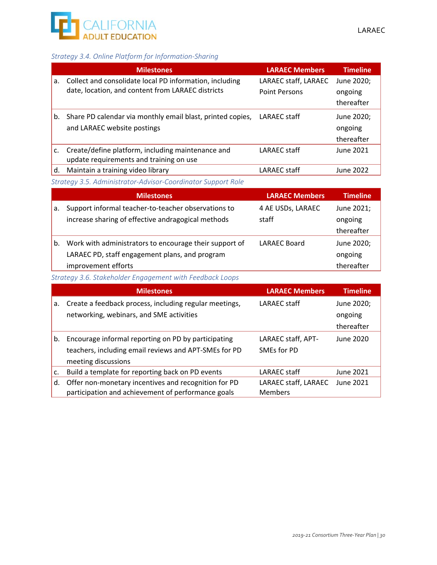

### *Strategy 3.4. Online Platform for Information‐Sharing*

|    | <b>Milestones</b>                                          | <b>LARAEC Members</b> | <b>Timeline</b> |
|----|------------------------------------------------------------|-----------------------|-----------------|
| a. | Collect and consolidate local PD information, including    | LARAEC staff, LARAEC  | June 2020;      |
|    | date, location, and content from LARAEC districts          | <b>Point Persons</b>  | ongoing         |
|    |                                                            |                       | thereafter      |
| b. | Share PD calendar via monthly email blast, printed copies, | LARAEC staff          | June 2020;      |
|    | and LARAEC website postings                                |                       | ongoing         |
|    |                                                            |                       | thereafter      |
| c. | Create/define platform, including maintenance and          | LARAEC staff          | June 2021       |
|    | update requirements and training on use                    |                       |                 |
| d. | Maintain a training video library                          | LARAEC staff          | June 2022       |

*Strategy 3.5. Administrator‐Advisor‐Coordinator Support Role* 

|    | <b>Milestones</b>                                      | <b>LARAEC Members,</b> | <b>Timeline</b> |
|----|--------------------------------------------------------|------------------------|-----------------|
| a. | Support informal teacher-to-teacher observations to    | 4 AE USDs, LARAEC      | June 2021;      |
|    | increase sharing of effective andragogical methods     | staff                  | ongoing         |
|    |                                                        |                        | thereafter      |
| b. | Work with administrators to encourage their support of | <b>LARAEC Board</b>    | June 2020;      |
|    | LARAEC PD, staff engagement plans, and program         |                        | ongoing         |
|    | improvement efforts                                    |                        | thereafter      |

*Strategy 3.6. Stakeholder Engagement with Feedback Loops* 

|    | <b>Milestones</b>                                      | <b>LARAEC Members</b> | <b>Timeline</b> |
|----|--------------------------------------------------------|-----------------------|-----------------|
| a. | Create a feedback process, including regular meetings, | LARAEC staff          | June 2020;      |
|    | networking, webinars, and SME activities               |                       | ongoing         |
|    |                                                        |                       | thereafter      |
| b. | Encourage informal reporting on PD by participating    | LARAEC staff, APT-    | June 2020       |
|    | teachers, including email reviews and APT-SMEs for PD  | SMEs for PD           |                 |
|    | meeting discussions                                    |                       |                 |
| c. | Build a template for reporting back on PD events       | LARAEC staff          | June 2021       |
| d. | Offer non-monetary incentives and recognition for PD   | LARAEC staff, LARAEC  | June 2021       |
|    | participation and achievement of performance goals     | <b>Members</b>        |                 |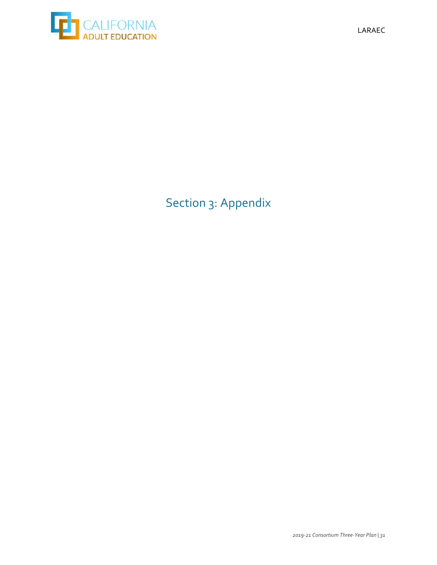

# Section 3: Appendix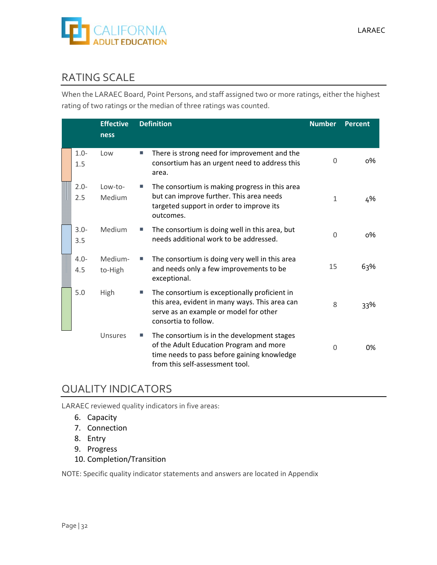

### RATING SCALE

When the LARAEC Board, Point Persons, and staff assigned two or more ratings, either the highest rating of two ratings or the median of three ratings was counted.

|                | <b>Effective</b><br>ness | <b>Definition</b>                                                                                                                                                        | <b>Number</b> | <b>Percent</b> |
|----------------|--------------------------|--------------------------------------------------------------------------------------------------------------------------------------------------------------------------|---------------|----------------|
| $1.0 -$<br>1.5 | Low                      | There is strong need for improvement and the<br>m.<br>consortium has an urgent need to address this<br>area.                                                             | 0             | о%             |
| $2.0 -$<br>2.5 | Low-to-<br>Medium        | The consortium is making progress in this area<br>but can improve further. This area needs<br>targeted support in order to improve its<br>outcomes.                      | 1             | 4%             |
| $3.0 -$<br>3.5 | Medium                   | The consortium is doing well in this area, but<br>needs additional work to be addressed.                                                                                 | 0             | о%             |
| $4.0 -$<br>4.5 | Medium-<br>to-High       | The consortium is doing very well in this area<br>and needs only a few improvements to be<br>exceptional.                                                                | 15            | 63%            |
| 5.0            | High                     | The consortium is exceptionally proficient in<br>T.<br>this area, evident in many ways. This area can<br>serve as an example or model for other<br>consortia to follow.  | 8             | 33%            |
|                | Unsures                  | The consortium is in the development stages<br>of the Adult Education Program and more<br>time needs to pass before gaining knowledge<br>from this self-assessment tool. | 0             | 0%             |

### QUALITY INDICATORS

LARAEC reviewed quality indicators in five areas:

- 6. Capacity
- 7. Connection
- 8. Entry
- 9. Progress
- 10. Completion/Transition

NOTE: Specific quality indicator statements and answers are located in Appendix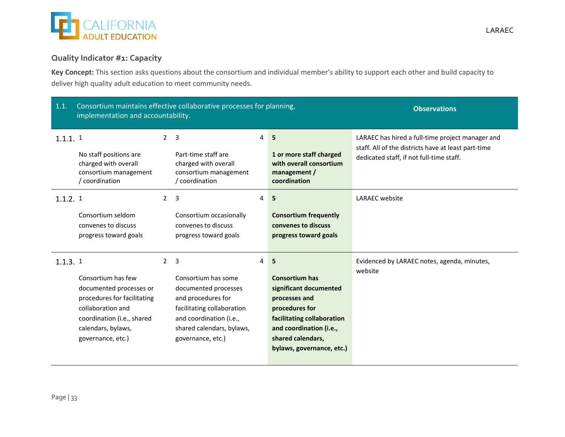

### **Quality Indicator #1: Capacity**

**Key Concept:** This section asks questions about the consortium and individual member's ability to support each other and build capacity to deliver high quality adult education to meet community needs.

| 1.1.    | implementation and accountability.                                                                                                                                         |                | Consortium maintains effective collaborative processes for planning,                                                                                                                           | <b>Observations</b> |                                                                                                                                                                                                    |                                                                                                                                                     |
|---------|----------------------------------------------------------------------------------------------------------------------------------------------------------------------------|----------------|------------------------------------------------------------------------------------------------------------------------------------------------------------------------------------------------|---------------------|----------------------------------------------------------------------------------------------------------------------------------------------------------------------------------------------------|-----------------------------------------------------------------------------------------------------------------------------------------------------|
| 1.1.1.1 | No staff positions are<br>charged with overall<br>consortium management<br>coordination                                                                                    |                | 2 <sub>3</sub><br>Part-time staff are<br>charged with overall<br>consortium management<br>/ coordination                                                                                       | 4                   | 5<br>1 or more staff charged<br>with overall consortium<br>management $/$<br>coordination                                                                                                          | LARAEC has hired a full-time project manager and<br>staff. All of the districts have at least part-time<br>dedicated staff, if not full-time staff. |
| 1.1.2.1 | Consortium seldom<br>convenes to discuss<br>progress toward goals                                                                                                          | $\overline{2}$ | $\overline{3}$<br>Consortium occasionally<br>convenes to discuss<br>progress toward goals                                                                                                      | 4                   | 5<br><b>Consortium frequently</b><br>convenes to discuss<br>progress toward goals                                                                                                                  | <b>LARAEC</b> website                                                                                                                               |
| 1.1.3.1 | Consortium has few<br>documented processes or<br>procedures for facilitating<br>collaboration and<br>coordination (i.e., shared<br>calendars, bylaws,<br>governance, etc.) |                | 2 <sub>3</sub><br>Consortium has some<br>documented processes<br>and procedures for<br>facilitating collaboration<br>and coordination (i.e.,<br>shared calendars, bylaws,<br>governance, etc.) | 4                   | 5<br><b>Consortium has</b><br>significant documented<br>processes and<br>procedures for<br>facilitating collaboration<br>and coordination (i.e.,<br>shared calendars,<br>bylaws, governance, etc.) | Evidenced by LARAEC notes, agenda, minutes,<br>website                                                                                              |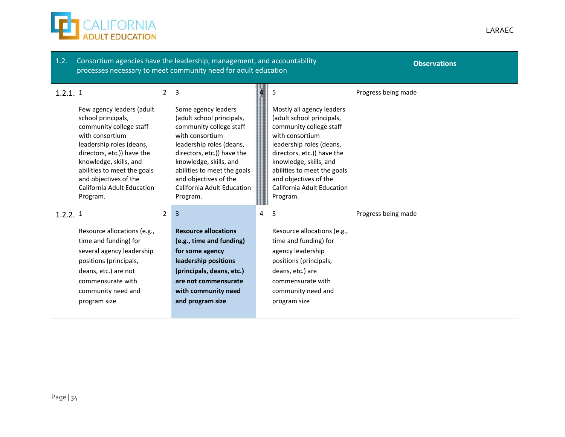

| 1.2.       |                                                                                                                                                                                                                                                                                     |                | Consortium agencies have the leadership, management, and accountability<br>processes necessary to meet community need for adult education                                                                                                                                                                       | <b>Observations</b> |                                                                                                                                                                                                                                                                                                 |                     |
|------------|-------------------------------------------------------------------------------------------------------------------------------------------------------------------------------------------------------------------------------------------------------------------------------------|----------------|-----------------------------------------------------------------------------------------------------------------------------------------------------------------------------------------------------------------------------------------------------------------------------------------------------------------|---------------------|-------------------------------------------------------------------------------------------------------------------------------------------------------------------------------------------------------------------------------------------------------------------------------------------------|---------------------|
| $1.2.1.$ 1 | Few agency leaders (adult<br>school principals,<br>community college staff<br>with consortium<br>leadership roles (deans,<br>directors, etc.)) have the<br>knowledge, skills, and<br>abilities to meet the goals<br>and objectives of the<br>California Adult Education<br>Program. | $\overline{2}$ | $\overline{\mathbf{3}}$<br>Some agency leaders<br>(adult school principals,<br>community college staff<br>with consortium<br>leadership roles (deans,<br>directors, etc.)) have the<br>knowledge, skills, and<br>abilities to meet the goals<br>and objectives of the<br>California Adult Education<br>Program. | IW II               | 5<br>Mostly all agency leaders<br>(adult school principals,<br>community college staff<br>with consortium<br>leadership roles (deans,<br>directors, etc.)) have the<br>knowledge, skills, and<br>abilities to meet the goals<br>and objectives of the<br>California Adult Education<br>Program. | Progress being made |
| 1.2.2.1    | Resource allocations (e.g.,<br>time and funding) for<br>several agency leadership<br>positions (principals,<br>deans, etc.) are not<br>commensurate with<br>community need and<br>program size                                                                                      | $\overline{2}$ | $\overline{3}$<br><b>Resource allocations</b><br>(e.g., time and funding)<br>for some agency<br>leadership positions<br>(principals, deans, etc.)<br>are not commensurate<br>with community need<br>and program size                                                                                            | 4                   | -5<br>Resource allocations (e.g.,<br>time and funding) for<br>agency leadership<br>positions (principals,<br>deans, etc.) are<br>commensurate with<br>community need and<br>program size                                                                                                        | Progress being made |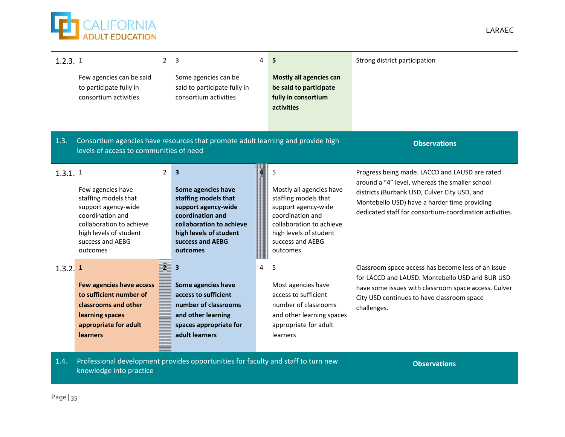**ED** CALIFORNIA

| 1.2.3.1               |                                                  | $\overline{2}$ | $\overline{3}$                                                                    | 4 | 5                                             | Strong district participation                                                                         |
|-----------------------|--------------------------------------------------|----------------|-----------------------------------------------------------------------------------|---|-----------------------------------------------|-------------------------------------------------------------------------------------------------------|
|                       | Few agencies can be said                         |                | Some agencies can be                                                              |   | <b>Mostly all agencies can</b>                |                                                                                                       |
|                       | to participate fully in<br>consortium activities |                | said to participate fully in<br>consortium activities                             |   | be said to participate<br>fully in consortium |                                                                                                       |
|                       |                                                  |                |                                                                                   |   | activities                                    |                                                                                                       |
|                       |                                                  |                |                                                                                   |   |                                               |                                                                                                       |
|                       |                                                  |                |                                                                                   |   |                                               |                                                                                                       |
| 1.3.                  | levels of access to communities of need          |                | Consortium agencies have resources that promote adult learning and provide high   |   |                                               | <b>Observations</b>                                                                                   |
|                       |                                                  |                |                                                                                   |   |                                               |                                                                                                       |
| $1.3.1.$ 1            |                                                  | $\overline{2}$ | $\overline{\mathbf{3}}$                                                           |   | 5                                             | Progress being made. LACCD and LAUSD are rated<br>around a "4" level, whereas the smaller school      |
|                       | Few agencies have                                |                | Some agencies have                                                                |   | Mostly all agencies have                      | districts (Burbank USD, Culver City USD, and                                                          |
|                       | staffing models that                             |                | staffing models that                                                              |   | staffing models that                          | Montebello USD) have a harder time providing                                                          |
|                       | support agency-wide<br>coordination and          |                | support agency-wide<br>coordination and                                           |   | support agency-wide<br>coordination and       | dedicated staff for consortium-coordination activities.                                               |
|                       | collaboration to achieve                         |                | collaboration to achieve                                                          |   | collaboration to achieve                      |                                                                                                       |
|                       | high levels of student                           |                | high levels of student                                                            |   | high levels of student                        |                                                                                                       |
|                       | success and AEBG<br>outcomes                     |                | success and AEBG<br>outcomes                                                      |   | success and AEBG<br>outcomes                  |                                                                                                       |
|                       |                                                  |                |                                                                                   |   |                                               |                                                                                                       |
| $1.3.2.$ <sup>1</sup> |                                                  | $\overline{2}$ | $\overline{\mathbf{3}}$                                                           | 4 | 5                                             | Classroom space access has become less of an issue<br>for LACCD and LAUSD. Montebello USD and BUR USD |
|                       | Few agencies have access                         |                | Some agencies have                                                                |   | Most agencies have                            | have some issues with classroom space access. Culver                                                  |
|                       | to sufficient number of                          |                | access to sufficient                                                              |   | access to sufficient                          | City USD continues to have classroom space                                                            |
|                       | classrooms and other                             |                | number of classrooms                                                              |   | number of classrooms                          | challenges.                                                                                           |
|                       | learning spaces                                  |                | and other learning                                                                |   | and other learning spaces                     |                                                                                                       |
|                       | appropriate for adult<br><b>learners</b>         |                | spaces appropriate for<br>adult learners                                          |   | appropriate for adult<br>learners             |                                                                                                       |
|                       |                                                  |                |                                                                                   |   |                                               |                                                                                                       |
|                       |                                                  |                |                                                                                   |   |                                               |                                                                                                       |
| 1.4.                  |                                                  |                | Professional development provides opportunities for faculty and staff to turn new |   |                                               | <b>Observations</b>                                                                                   |

knowledge into practice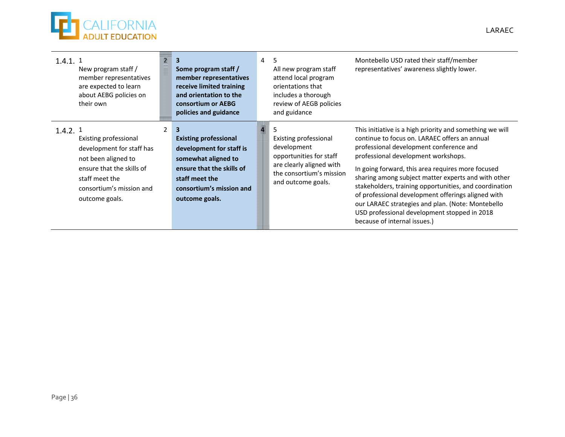

| $1.4.1.$ 1 | New program staff /<br>member representatives<br>are expected to learn<br>about AEBG policies on<br>their own                                                          | 三星 3 | Some program staff /<br>member representatives<br>receive limited training<br>and orientation to the<br>consortium or AEBG<br>policies and guidance                               | $\overline{4}$ | 5<br>All new program staff<br>attend local program<br>orientations that<br>includes a thorough<br>review of AEGB policies<br>and guidance     | Montebello USD rated their staff/member<br>representatives' awareness slightly lower.                                                                                                                                                                                                                                                                                                                                                                                                                                                                        |
|------------|------------------------------------------------------------------------------------------------------------------------------------------------------------------------|------|-----------------------------------------------------------------------------------------------------------------------------------------------------------------------------------|----------------|-----------------------------------------------------------------------------------------------------------------------------------------------|--------------------------------------------------------------------------------------------------------------------------------------------------------------------------------------------------------------------------------------------------------------------------------------------------------------------------------------------------------------------------------------------------------------------------------------------------------------------------------------------------------------------------------------------------------------|
| 1.4.2.1    | Existing professional<br>development for staff has<br>not been aligned to<br>ensure that the skills of<br>staff meet the<br>consortium's mission and<br>outcome goals. |      | 3<br><b>Existing professional</b><br>development for staff is<br>somewhat aligned to<br>ensure that the skills of<br>staff meet the<br>consortium's mission and<br>outcome goals. |                | Existing professional<br>development<br>opportunities for staff<br>are clearly aligned with<br>the consortium's mission<br>and outcome goals. | This initiative is a high priority and something we will<br>continue to focus on. LARAEC offers an annual<br>professional development conference and<br>professional development workshops.<br>In going forward, this area requires more focused<br>sharing among subject matter experts and with other<br>stakeholders, training opportunities, and coordination<br>of professional development offerings aligned with<br>our LARAEC strategies and plan. (Note: Montebello<br>USD professional development stopped in 2018<br>because of internal issues.) |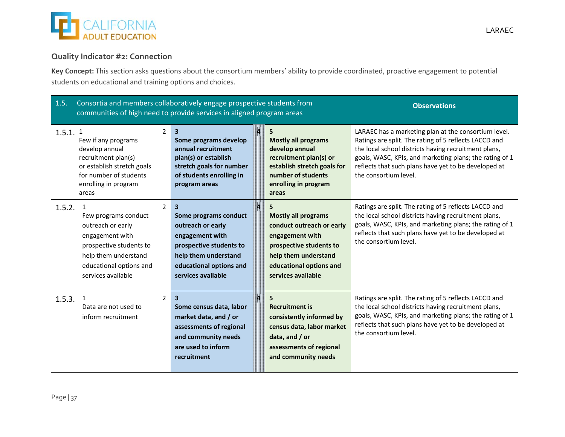

### **Quality Indicator #2: Connection**

**Key Concept:** This section asks questions about the consortium members' ability to provide coordinated, proactive engagement to potential students on educational and training options and choices.

| 1.5.       |                                                                                                                                                                  |                | Consortia and members collaboratively engage prospective students from<br>communities of high need to provide services in aligned program areas                         | <b>Observations</b>                                                                                                                                                                 |                                                                                                                                                                                                                                                                                                                   |
|------------|------------------------------------------------------------------------------------------------------------------------------------------------------------------|----------------|-------------------------------------------------------------------------------------------------------------------------------------------------------------------------|-------------------------------------------------------------------------------------------------------------------------------------------------------------------------------------|-------------------------------------------------------------------------------------------------------------------------------------------------------------------------------------------------------------------------------------------------------------------------------------------------------------------|
| $1.5.1.$ 1 | Few if any programs<br>develop annual<br>recruitment plan(s)<br>or establish stretch goals<br>for number of students<br>enrolling in program<br>areas            | $\overline{2}$ | $\overline{\mathbf{3}}$<br>Some programs develop<br>annual recruitment<br>plan(s) or establish<br>stretch goals for number<br>of students enrolling in<br>program areas | 5<br><b>Mostly all programs</b><br>develop annual<br>recruitment plan(s) or<br>establish stretch goals for<br>number of students<br>enrolling in program<br>areas                   | LARAEC has a marketing plan at the consortium level.<br>Ratings are split. The rating of 5 reflects LACCD and<br>the local school districts having recruitment plans,<br>goals, WASC, KPIs, and marketing plans; the rating of 1<br>reflects that such plans have yet to be developed at<br>the consortium level. |
| 1.5.2.     | Few programs conduct<br>outreach or early<br>engagement with<br>prospective students to<br>help them understand<br>educational options and<br>services available | $\overline{2}$ | 3<br>Some programs conduct<br>outreach or early<br>engagement with<br>prospective students to<br>help them understand<br>educational options and<br>services available  | 5<br><b>Mostly all programs</b><br>conduct outreach or early<br>engagement with<br>prospective students to<br>help them understand<br>educational options and<br>services available | Ratings are split. The rating of 5 reflects LACCD and<br>the local school districts having recruitment plans,<br>goals, WASC, KPIs, and marketing plans; the rating of 1<br>reflects that such plans have yet to be developed at<br>the consortium level.                                                         |
| 1.5.3.     | $\mathbf{1}$<br>Data are not used to<br>inform recruitment                                                                                                       | $\overline{2}$ | $\overline{\mathbf{3}}$<br>Some census data, labor<br>market data, and / or<br>assessments of regional<br>and community needs<br>are used to inform<br>recruitment      | 5<br><b>Recruitment is</b><br>consistently informed by<br>census data, labor market<br>data, and $/$ or<br>assessments of regional<br>and community needs                           | Ratings are split. The rating of 5 reflects LACCD and<br>the local school districts having recruitment plans,<br>goals, WASC, KPIs, and marketing plans; the rating of 1<br>reflects that such plans have yet to be developed at<br>the consortium level.                                                         |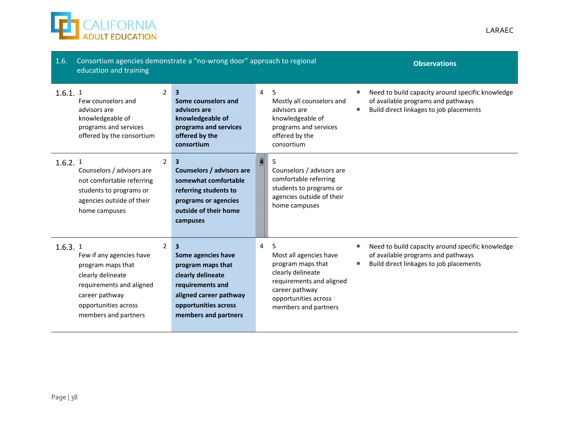

| 1.6.       | Consortium agencies demonstrate a "no-wrong door" approach to regional<br>education and training                                                                 |                |                                                                                                                                                                            |       |                                                                                                                                                                     | <b>Observations</b>                                                                                                               |
|------------|------------------------------------------------------------------------------------------------------------------------------------------------------------------|----------------|----------------------------------------------------------------------------------------------------------------------------------------------------------------------------|-------|---------------------------------------------------------------------------------------------------------------------------------------------------------------------|-----------------------------------------------------------------------------------------------------------------------------------|
| $1.6.1.$ 1 | Few counselors and<br>advisors are<br>knowledgeable of<br>programs and services<br>offered by the consortium                                                     | $\overline{2}$ | $\overline{\mathbf{3}}$<br>Some counselors and<br>advisors are<br>knowledgeable of<br>programs and services<br>offered by the<br>consortium                                | 4     | 5<br>Mostly all counselors and<br>advisors are<br>knowledgeable of<br>programs and services<br>offered by the<br>consortium                                         | Need to build capacity around specific knowledge<br>of available programs and pathways<br>Build direct linkages to job placements |
| $1.6.2.$ 1 | Counselors / advisors are<br>not comfortable referring<br>students to programs or<br>agencies outside of their<br>home campuses                                  | $\overline{2}$ | 3<br>Counselors / advisors are<br>somewhat comfortable<br>referring students to<br>programs or agencies<br>outside of their home<br>campuses                               | IKILI | -5<br>Counselors / advisors are<br>comfortable referring<br>students to programs or<br>agencies outside of their<br>home campuses                                   |                                                                                                                                   |
| 1.6.3.1    | Few if any agencies have<br>program maps that<br>clearly delineate<br>requirements and aligned<br>career pathway<br>opportunities across<br>members and partners | $\overline{2}$ | $\mathbf{3}$<br>Some agencies have<br>program maps that<br>clearly delineate<br>requirements and<br>aligned career pathway<br>opportunities across<br>members and partners | 4     | 5<br>Most all agencies have<br>program maps that<br>clearly delineate<br>requirements and aligned<br>career pathway<br>opportunities across<br>members and partners | Need to build capacity around specific knowledge<br>of available programs and pathways<br>Build direct linkages to job placements |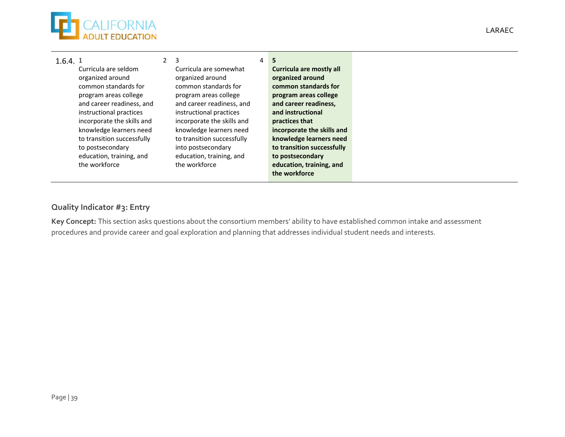

| 1.6.4.1 |                            | -3                         | 4 | 5                          |
|---------|----------------------------|----------------------------|---|----------------------------|
|         | Curricula are seldom       | Curricula are somewhat     |   | Curricula are mostly all   |
|         | organized around           | organized around           |   | organized around           |
|         | common standards for       | common standards for       |   | common standards for       |
|         | program areas college      | program areas college      |   | program areas college      |
|         | and career readiness, and  | and career readiness, and  |   | and career readiness,      |
|         | instructional practices    | instructional practices    |   | and instructional          |
|         | incorporate the skills and | incorporate the skills and |   | practices that             |
|         | knowledge learners need    | knowledge learners need    |   | incorporate the skills and |
|         | to transition successfully | to transition successfully |   | knowledge learners need    |
|         | to postsecondary           | into postsecondary         |   | to transition successfully |
|         | education, training, and   | education, training, and   |   | to postsecondary           |
|         | the workforce              | the workforce              |   | education, training, and   |
|         |                            |                            |   | the workforce              |

### **Quality Indicator #3: Entry**

**Key Concept:** This section asks questions about the consortium members' ability to have established common intake and assessment procedures and provide career and goal exploration and planning that addresses individual student needs and interests.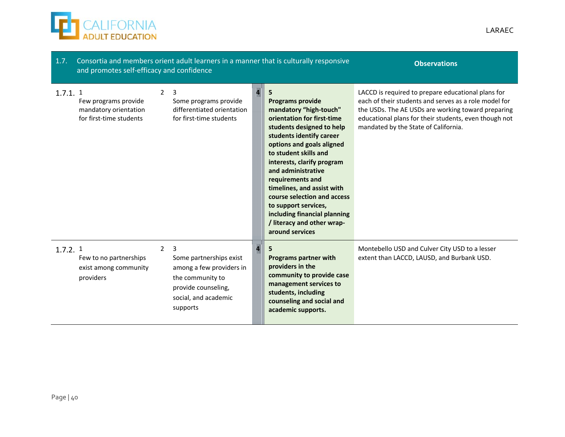

| 1.7.<br>and promotes self-efficacy and confidence                                      |                |                                                                                                                                         | Consortia and members orient adult learners in a manner that is culturally responsive | <b>Observations</b>                                                                                                                                                                                                                                                                                                                                                                                                                               |                                                                                                                                                                                                                                                                    |
|----------------------------------------------------------------------------------------|----------------|-----------------------------------------------------------------------------------------------------------------------------------------|---------------------------------------------------------------------------------------|---------------------------------------------------------------------------------------------------------------------------------------------------------------------------------------------------------------------------------------------------------------------------------------------------------------------------------------------------------------------------------------------------------------------------------------------------|--------------------------------------------------------------------------------------------------------------------------------------------------------------------------------------------------------------------------------------------------------------------|
| $1.7.1.$ 1<br>Few programs provide<br>mandatory orientation<br>for first-time students | $\mathcal{P}$  | 3<br>Some programs provide<br>differentiated orientation<br>for first-time students                                                     |                                                                                       | 5<br><b>Programs provide</b><br>mandatory "high-touch"<br>orientation for first-time<br>students designed to help<br>students identify career<br>options and goals aligned<br>to student skills and<br>interests, clarify program<br>and administrative<br>requirements and<br>timelines, and assist with<br>course selection and access<br>to support services,<br>including financial planning<br>/ literacy and other wrap-<br>around services | LACCD is required to prepare educational plans for<br>each of their students and serves as a role model for<br>the USDs. The AE USDs are working toward preparing<br>educational plans for their students, even though not<br>mandated by the State of California. |
| 1.7.2.1<br>Few to no partnerships<br>exist among community<br>providers                | $\overline{2}$ | 3<br>Some partnerships exist<br>among a few providers in<br>the community to<br>provide counseling,<br>social, and academic<br>supports |                                                                                       | <b>Programs partner with</b><br>providers in the<br>community to provide case<br>management services to<br>students, including<br>counseling and social and<br>academic supports.                                                                                                                                                                                                                                                                 | Montebello USD and Culver City USD to a lesser<br>extent than LACCD, LAUSD, and Burbank USD.                                                                                                                                                                       |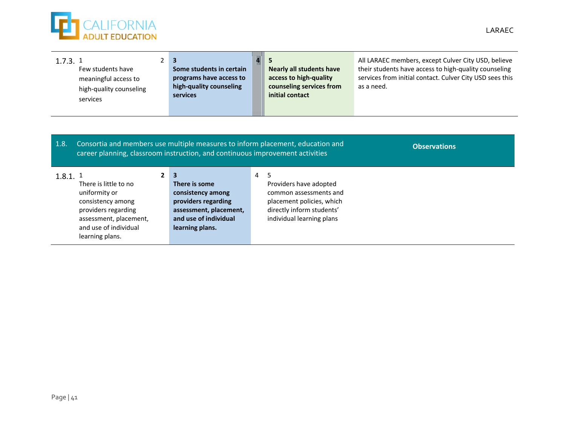

| 1.7.3.1    | Few students have<br>meaningful access to<br>high-quality counseling<br>services                                                                         | $\overline{2}$<br>$\overline{3}$<br>Some students in certain<br>programs have access to<br>high-quality counseling<br><b>services</b>                           |                | <b>Nearly all students have</b><br>access to high-quality<br>counseling services from<br>initial contact                                     | All LARAEC members, except Culver City USD, believe<br>their students have access to high-quality counseling<br>services from initial contact. Culver City USD sees this<br>as a need. |
|------------|----------------------------------------------------------------------------------------------------------------------------------------------------------|-----------------------------------------------------------------------------------------------------------------------------------------------------------------|----------------|----------------------------------------------------------------------------------------------------------------------------------------------|----------------------------------------------------------------------------------------------------------------------------------------------------------------------------------------|
| 1.8.       |                                                                                                                                                          | Consortia and members use multiple measures to inform placement, education and<br>career planning, classroom instruction, and continuous improvement activities |                |                                                                                                                                              | <b>Observations</b>                                                                                                                                                                    |
| $1.8.1.$ 1 | There is little to no<br>uniformity or<br>consistency among<br>providers regarding<br>assessment, placement,<br>and use of individual<br>learning plans. | $\mathbf{3}$<br>$\mathbf{2}$<br>There is some<br>consistency among<br>providers regarding<br>assessment, placement,<br>and use of individual<br>learning plans. | $\overline{a}$ | 5<br>Providers have adopted<br>common assessments and<br>placement policies, which<br>directly inform students'<br>individual learning plans |                                                                                                                                                                                        |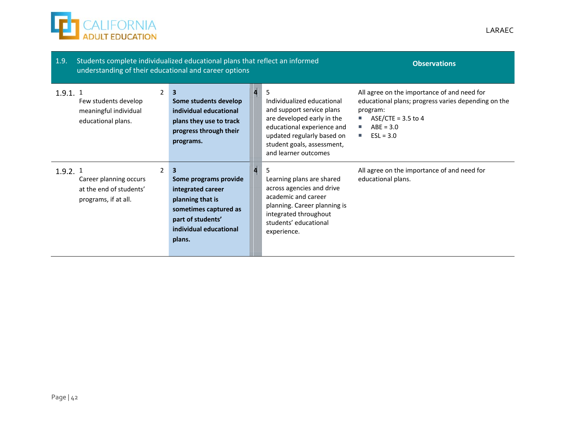

| 1.9.       | Students complete individualized educational plans that reflect an informed<br>understanding of their educational and career options |                                                                                                                                                       | <b>Observations</b>                                                                                                                                                                                          |                                                                                                                                                                                 |
|------------|--------------------------------------------------------------------------------------------------------------------------------------|-------------------------------------------------------------------------------------------------------------------------------------------------------|--------------------------------------------------------------------------------------------------------------------------------------------------------------------------------------------------------------|---------------------------------------------------------------------------------------------------------------------------------------------------------------------------------|
| $1.9.1.$ 1 | $\overline{2}$<br>Few students develop<br>meaningful individual<br>educational plans.                                                | $\mathbf{3}$<br>Some students develop<br>individual educational<br>plans they use to track<br>progress through their<br>programs.                     | 5<br>Individualized educational<br>and support service plans<br>are developed early in the<br>educational experience and<br>updated regularly based on<br>student goals, assessment,<br>and learner outcomes | All agree on the importance of and need for<br>educational plans; progress varies depending on the<br>program:<br>ASE/CTE = $3.5$ to 4<br>L.<br>$ABE = 3.0$<br>ш<br>$ESL = 3.0$ |
| 1.9.2.1    | $\mathcal{P}$<br>Career planning occurs<br>at the end of students'<br>programs, if at all.                                           | 3<br>Some programs provide<br>integrated career<br>planning that is<br>sometimes captured as<br>part of students'<br>individual educational<br>plans. | 5<br>Learning plans are shared<br>across agencies and drive<br>academic and career<br>planning. Career planning is<br>integrated throughout<br>students' educational<br>experience.                          | All agree on the importance of and need for<br>educational plans.                                                                                                               |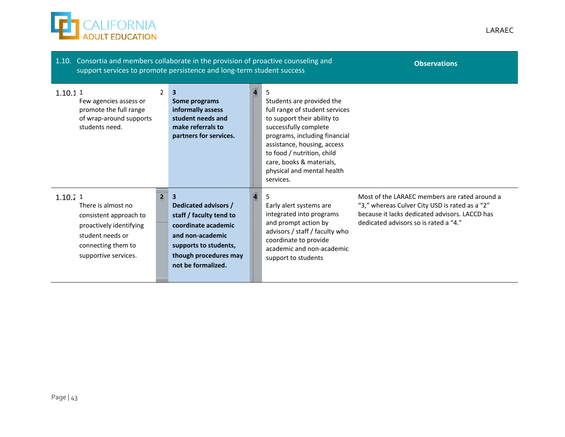

| 1.10. Consortia and members collaborate in the provision of proactive counseling and<br><b>Observations</b><br>support services to promote persistence and long-term student success |                                                                                                                                                                                        |  |                                                                                                                                                                                                                                                                                          |                                                                                                                                                                                            |  |  |  |
|--------------------------------------------------------------------------------------------------------------------------------------------------------------------------------------|----------------------------------------------------------------------------------------------------------------------------------------------------------------------------------------|--|------------------------------------------------------------------------------------------------------------------------------------------------------------------------------------------------------------------------------------------------------------------------------------------|--------------------------------------------------------------------------------------------------------------------------------------------------------------------------------------------|--|--|--|
| $\mathcal{P}$<br>1.10.11<br>Few agencies assess or<br>promote the full range<br>of wrap-around supports<br>students need.                                                            | 3<br>Some programs<br>informally assess<br>student needs and<br>make referrals to<br>partners for services.                                                                            |  | Students are provided the<br>full range of student services<br>to support their ability to<br>successfully complete<br>programs, including financial<br>assistance, housing, access<br>to food / nutrition, child<br>care, books & materials,<br>physical and mental health<br>services. |                                                                                                                                                                                            |  |  |  |
| $1.10.2$ 1<br>There is almost no<br>consistent approach to<br>proactively identifying<br>student needs or<br>connecting them to<br>supportive services.                              | $\overline{2}$ 3<br>Dedicated advisors /<br>staff / faculty tend to<br>coordinate academic<br>and non-academic<br>supports to students,<br>though procedures may<br>not be formalized. |  | Early alert systems are<br>integrated into programs<br>and prompt action by<br>advisors / staff / faculty who<br>coordinate to provide<br>academic and non-academic<br>support to students                                                                                               | Most of the LARAEC members are rated around a<br>"3," whereas Culver City USD is rated as a "2"<br>because it lacks dedicated advisors. LACCD has<br>dedicated advisors so is rated a "4." |  |  |  |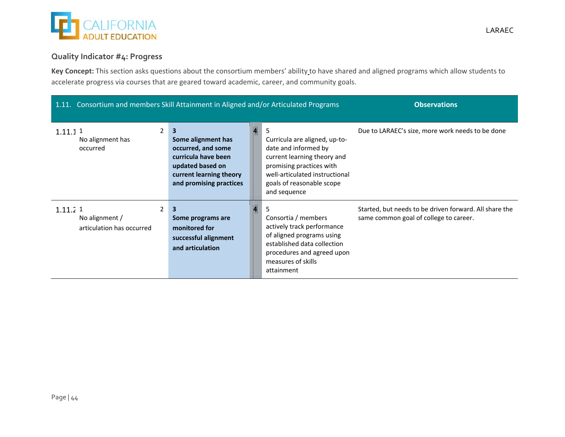

### **Quality Indicator #4: Progress**

**Key Concept:** This section asks questions about the consortium members' ability to have shared and aligned programs which allow students to accelerate progress via courses that are geared toward academic, career, and community goals.

| 1.11. Consortium and members Skill Attainment in Aligned and/or Articulated Programs |                                                                                                                                                |                                                                                                                                                                                                 | <b>Observations</b>                                                                              |  |  |  |  |  |
|--------------------------------------------------------------------------------------|------------------------------------------------------------------------------------------------------------------------------------------------|-------------------------------------------------------------------------------------------------------------------------------------------------------------------------------------------------|--------------------------------------------------------------------------------------------------|--|--|--|--|--|
| $\overline{2}$<br>1.11.11<br>No alignment has<br>occurred                            | 3<br>Some alignment has<br>occurred, and some<br>curricula have been<br>updated based on<br>current learning theory<br>and promising practices | Curricula are aligned, up-to-<br>date and informed by<br>current learning theory and<br>promising practices with<br>well-articulated instructional<br>goals of reasonable scope<br>and sequence | Due to LARAEC's size, more work needs to be done                                                 |  |  |  |  |  |
| 2<br>1.11.21<br>No alignment /<br>articulation has occurred                          | 3<br>Some programs are<br>monitored for<br>successful alignment<br>and articulation                                                            | Consortia / members<br>actively track performance<br>of aligned programs using<br>established data collection<br>procedures and agreed upon<br>measures of skills<br>attainment                 | Started, but needs to be driven forward. All share the<br>same common goal of college to career. |  |  |  |  |  |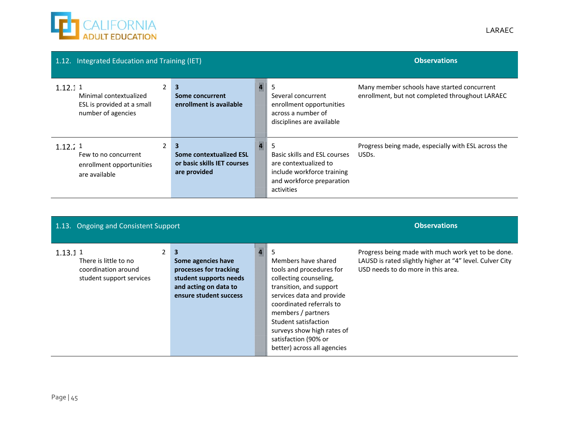

| 1.12. Integrated Education and Training (IET)                                         |                |                                                                             |                                                                                                   | <b>Observations</b>                                                                                                            |                                                                                                |
|---------------------------------------------------------------------------------------|----------------|-----------------------------------------------------------------------------|---------------------------------------------------------------------------------------------------|--------------------------------------------------------------------------------------------------------------------------------|------------------------------------------------------------------------------------------------|
| 1.12.11<br>Minimal contextualized<br>ESL is provided at a small<br>number of agencies | $\mathbf{2}$   | 3<br>Some concurrent<br>enrollment is available                             | Several concurrent<br>enrollment opportunities<br>across a number of<br>disciplines are available |                                                                                                                                | Many member schools have started concurrent<br>enrollment, but not completed throughout LARAEC |
| 1.12.71<br>Few to no concurrent<br>enrollment opportunities<br>are available          | $\overline{2}$ | 3<br>Some contextualized ESL<br>or basic skills IET courses<br>are provided | KAUI                                                                                              | Basic skills and ESL courses<br>are contextualized to<br>include workforce training<br>and workforce preparation<br>activities | Progress being made, especially with ESL across the<br>USDs.                                   |

| 1.13. Ongoing and Consistent Support                                                |                                                                                                                                                      |  | <b>Observations</b>                                                                                                                                                                                                                                                                                   |                                                                                                                                                      |
|-------------------------------------------------------------------------------------|------------------------------------------------------------------------------------------------------------------------------------------------------|--|-------------------------------------------------------------------------------------------------------------------------------------------------------------------------------------------------------------------------------------------------------------------------------------------------------|------------------------------------------------------------------------------------------------------------------------------------------------------|
| 1.13.11<br>There is little to no<br>coordination around<br>student support services | $\overline{\mathbf{3}}$<br>Some agencies have<br>processes for tracking<br>student supports needs<br>and acting on data to<br>ensure student success |  | 5<br>Members have shared<br>tools and procedures for<br>collecting counseling,<br>transition, and support<br>services data and provide<br>coordinated referrals to<br>members / partners<br>Student satisfaction<br>surveys show high rates of<br>satisfaction (90% or<br>better) across all agencies | Progress being made with much work yet to be done.<br>LAUSD is rated slightly higher at "4" level. Culver City<br>USD needs to do more in this area. |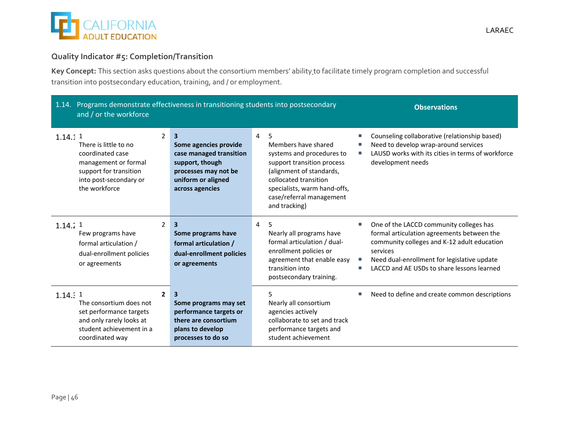

### **Quality Indicator #5: Completion/Transition**

**Key Concept:** This section asks questions about the consortium members' ability to facilitate timely program completion and successful transition into postsecondary education, training, and / or employment.

| 1.14. Programs demonstrate effectiveness in transitioning students into postsecondary<br>and / or the workforce                                   |                |                                                                                                                                           |                |                                                                                                                                                                                                                       | <b>Observations</b> |                                                                                                                                                                                                                                               |
|---------------------------------------------------------------------------------------------------------------------------------------------------|----------------|-------------------------------------------------------------------------------------------------------------------------------------------|----------------|-----------------------------------------------------------------------------------------------------------------------------------------------------------------------------------------------------------------------|---------------------|-----------------------------------------------------------------------------------------------------------------------------------------------------------------------------------------------------------------------------------------------|
| 1.14.11<br>There is little to no<br>coordinated case<br>management or formal<br>support for transition<br>into post-secondary or<br>the workforce | $\overline{2}$ | 3<br>Some agencies provide<br>case managed transition<br>support, though<br>processes may not be<br>uniform or aligned<br>across agencies | 4              | 5<br>Members have shared<br>systems and procedures to<br>support transition process<br>(alignment of standards,<br>collocated transition<br>specialists, warm hand-offs,<br>case/referral management<br>and tracking) |                     | Counseling collaborative (relationship based)<br>Need to develop wrap-around services<br>LAUSD works with its cities in terms of workforce<br>development needs                                                                               |
| 1.14.71<br>Few programs have<br>formal articulation /<br>dual-enrollment policies<br>or agreements                                                | 2              | 3<br>Some programs have<br>formal articulation /<br>dual-enrollment policies<br>or agreements                                             | $\overline{4}$ | 5<br>Nearly all programs have<br>formal articulation / dual-<br>enrollment policies or<br>agreement that enable easy<br>transition into<br>postsecondary training.                                                    | u,                  | One of the LACCD community colleges has<br>formal articulation agreements between the<br>community colleges and K-12 adult education<br>services<br>Need dual-enrollment for legislative update<br>LACCD and AE USDs to share lessons learned |
| 1.14.11<br>The consortium does not<br>set performance targets<br>and only rarely looks at<br>student achievement in a<br>coordinated way          | $\mathbf{2}$   | 3<br>Some programs may set<br>performance targets or<br>there are consortium<br>plans to develop<br>processes to do so                    |                | 5<br>Nearly all consortium<br>agencies actively<br>collaborate to set and track<br>performance targets and<br>student achievement                                                                                     |                     | Need to define and create common descriptions                                                                                                                                                                                                 |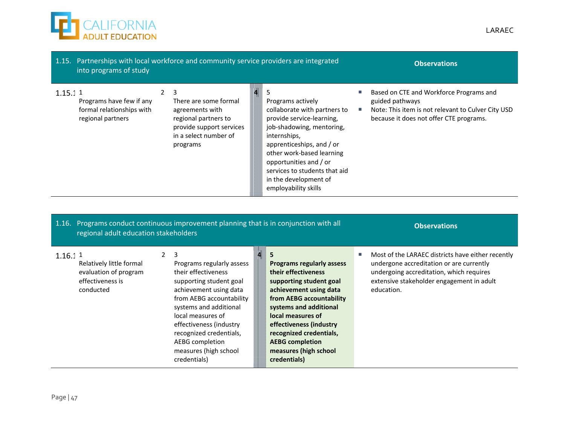

|         | into programs of study                                                     |                | 1.15. Partnerships with local workforce and community service providers are integrated                                                 | <b>Observations</b>                                                                                                                                                                                                                                                                                                                                                                              |  |                                                                                                                                                             |  |  |  |
|---------|----------------------------------------------------------------------------|----------------|----------------------------------------------------------------------------------------------------------------------------------------|--------------------------------------------------------------------------------------------------------------------------------------------------------------------------------------------------------------------------------------------------------------------------------------------------------------------------------------------------------------------------------------------------|--|-------------------------------------------------------------------------------------------------------------------------------------------------------------|--|--|--|
| 1.15.11 | Programs have few if any<br>formal relationships with<br>regional partners | $\overline{2}$ | 3<br>There are some formal<br>agreements with<br>regional partners to<br>provide support services<br>in a select number of<br>programs | 5<br>Programs actively<br>collaborate with partners to<br>provide service-learning,<br>job-shadowing, mentoring,<br>internships,<br>apprenticeships, and / or<br>other work-based learning<br>opportunities and / or<br>services to students that aid<br>in the development of<br>employability skills<br>1.16. Programs conduct continuous improvement planning that is in conjunction with all |  | Based on CTE and Workforce Programs and<br>guided pathways<br>Note: This item is not relevant to Culver City USD<br>because it does not offer CTE programs. |  |  |  |
|         |                                                                            |                |                                                                                                                                        |                                                                                                                                                                                                                                                                                                                                                                                                  |  |                                                                                                                                                             |  |  |  |
|         | regional adult education stakeholders                                      |                |                                                                                                                                        |                                                                                                                                                                                                                                                                                                                                                                                                  |  | <b>Observations</b>                                                                                                                                         |  |  |  |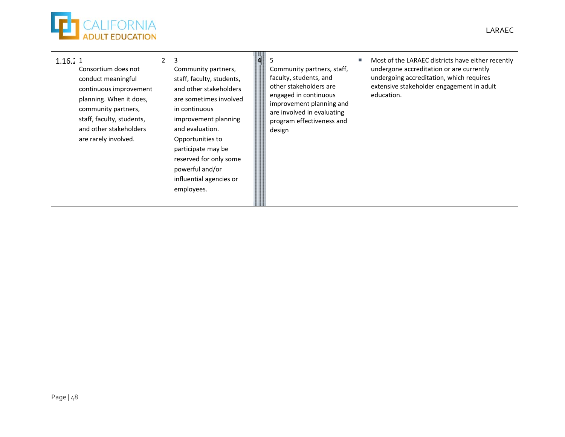

#### 1.16.2 1

Consortium does not conduct meaningful continuous improvement planning. When it does, community partners, staff, faculty, students, and other stakeholders are rarely involved.

2 3 Community partners, staff, faculty, students, and other stakeholders are sometimes involved in continuous improvement planning and evaluation. Opportunities to participate may be reserved for only some powerful and/or influential agencies or employees.

- **4** 5 Community partners, staff, faculty, students, and other stakeholders are engaged in continuous improvement planning and are involved in evaluating program effectiveness and design
- $\mathcal{L}_{\mathcal{A}}$  Most of the LARAEC districts have either recently undergone accreditation or are currently undergoing accreditation, which requires extensive stakeholder engagement in adult education.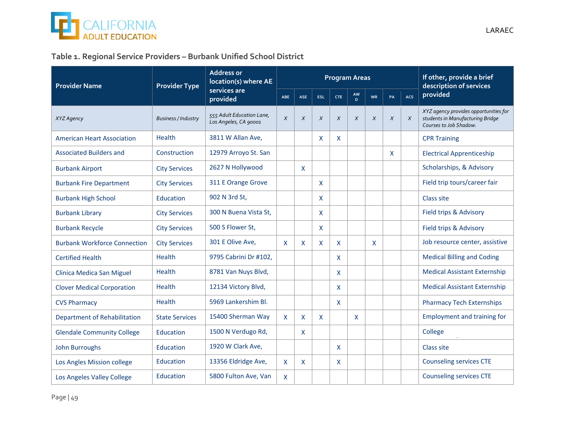

### **Table 1. Regional Service Providers – Burbank Unified School District**

| <b>Provider Name</b>                | <b>Provider Type</b>       | <b>Address or</b><br>location(s) where AE          |            |              |              | <b>Program Areas</b> |          | If other, provide a brief<br>description of services |        |            |                                                                                                     |
|-------------------------------------|----------------------------|----------------------------------------------------|------------|--------------|--------------|----------------------|----------|------------------------------------------------------|--------|------------|-----------------------------------------------------------------------------------------------------|
|                                     |                            | services are<br>provided                           | <b>ABE</b> | <b>ASE</b>   | <b>ESL</b>   | <b>CTE</b>           | AW<br>D. | <b>WR</b>                                            | PA     | <b>ACS</b> | provided                                                                                            |
| XYZ Agency                          | <b>Business / Industry</b> | 555 Adult Education Lane,<br>Los Angeles, CA 90001 | $\chi$     | $\chi$       | $\chi$       | $\chi$               | $\chi$   | $\chi$                                               | $\chi$ | $\chi$     | XYZ agency provides opportunities for<br>students in Manufacturing Bridge<br>Courses to Job Shadow. |
| <b>American Heart Association</b>   | Health                     | 3811 W Allan Ave.                                  |            |              | $\mathsf{x}$ | X                    |          |                                                      |        |            | <b>CPR Training</b>                                                                                 |
| <b>Associated Builders and</b>      | Construction               | 12979 Arroyo St. San                               |            |              |              |                      |          |                                                      | X      |            | <b>Electrical Apprenticeship</b>                                                                    |
| <b>Burbank Airport</b>              | <b>City Services</b>       | 2627 N Hollywood                                   |            | X            |              |                      |          |                                                      |        |            | Scholarships, & Advisory                                                                            |
| <b>Burbank Fire Department</b>      | <b>City Services</b>       | 311 E Orange Grove                                 |            |              | $\mathsf{x}$ |                      |          |                                                      |        |            | Field trip tours/career fair                                                                        |
| <b>Burbank High School</b>          | Education                  | 902 N 3rd St,                                      |            |              | $\mathsf{x}$ |                      |          |                                                      |        |            | Class site                                                                                          |
| <b>Burbank Library</b>              | <b>City Services</b>       | 300 N Buena Vista St.                              |            |              | $\mathsf{x}$ |                      |          |                                                      |        |            | Field trips & Advisory                                                                              |
| <b>Burbank Recycle</b>              | <b>City Services</b>       | 500 S Flower St,                                   |            |              | $\mathsf{X}$ |                      |          |                                                      |        |            | Field trips & Advisory                                                                              |
| <b>Burbank Workforce Connection</b> | <b>City Services</b>       | 301 E Olive Ave,                                   | X          | X            | X            | X                    |          | X                                                    |        |            | Job resource center, assistive                                                                      |
| <b>Certified Health</b>             | Health                     | 9795 Cabrini Dr #102,                              |            |              |              | X                    |          |                                                      |        |            | <b>Medical Billing and Coding</b>                                                                   |
| Clinica Medica San Miguel           | Health                     | 8781 Van Nuys Blvd,                                |            |              |              | X                    |          |                                                      |        |            | <b>Medical Assistant Externship</b>                                                                 |
| <b>Clover Medical Corporation</b>   | Health                     | 12134 Victory Blvd,                                |            |              |              | X                    |          |                                                      |        |            | <b>Medical Assistant Externship</b>                                                                 |
| <b>CVS Pharmacy</b>                 | Health                     | 5969 Lankershim Bl.                                |            |              |              | X                    |          |                                                      |        |            | <b>Pharmacy Tech Externships</b>                                                                    |
| Department of Rehabilitation        | <b>State Services</b>      | 15400 Sherman Way                                  | <b>X</b>   | $\mathsf{X}$ | $\mathsf{x}$ |                      | X        |                                                      |        |            | Employment and training for                                                                         |
| <b>Glendale Community College</b>   | Education                  | 1500 N Verdugo Rd,                                 |            | X            |              |                      |          |                                                      |        |            | College                                                                                             |
| <b>John Burroughs</b>               | Education                  | 1920 W Clark Ave,                                  |            |              |              | X                    |          |                                                      |        |            | Class site                                                                                          |
| Los Angles Mission college          | Education                  | 13356 Eldridge Ave,                                | X          | X            |              | X                    |          |                                                      |        |            | <b>Counseling services CTE</b>                                                                      |
| Los Angeles Valley College          | Education                  | 5800 Fulton Ave, Van                               | X          |              |              |                      |          |                                                      |        |            | <b>Counseling services CTE</b>                                                                      |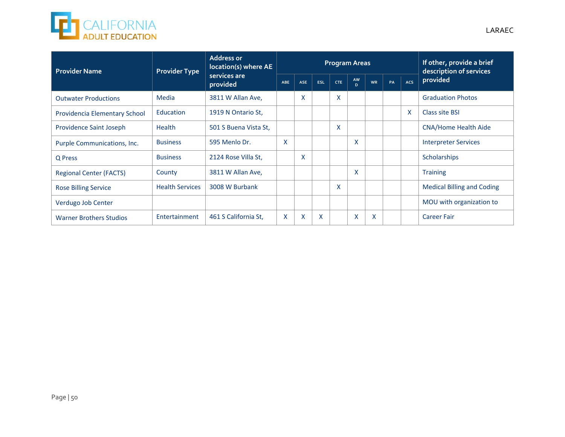

| <b>Provider Name</b>           | <b>Provider Type</b>   | <b>Address or</b><br>location(s) where AE |     |                           |            | <b>Program Areas</b> | If other, provide a brief<br>description of services |           |    |     |                                   |  |
|--------------------------------|------------------------|-------------------------------------------|-----|---------------------------|------------|----------------------|------------------------------------------------------|-----------|----|-----|-----------------------------------|--|
|                                |                        | services are<br>provided                  | ABE | <b>ASE</b>                | <b>ESL</b> | <b>CTE</b>           | AW<br>D.                                             | <b>WR</b> | PA | ACS | provided                          |  |
| <b>Outwater Productions</b>    | Media                  | 3811 W Allan Ave,                         |     | $\boldsymbol{\mathsf{x}}$ |            | X                    |                                                      |           |    |     | <b>Graduation Photos</b>          |  |
| Providencia Elementary School  | Education              | 1919 N Ontario St.                        |     |                           |            |                      |                                                      |           |    | X   | Class site BSI                    |  |
| Providence Saint Joseph        | <b>Health</b>          | 501 S Buena Vista St.                     |     |                           |            | X                    |                                                      |           |    |     | <b>CNA/Home Health Aide</b>       |  |
| Purple Communications, Inc.    | <b>Business</b>        | 595 Menlo Dr.                             | X   |                           |            |                      | X                                                    |           |    |     | <b>Interpreter Services</b>       |  |
| Q Press                        | <b>Business</b>        | 2124 Rose Villa St,                       |     | $\boldsymbol{\mathsf{x}}$ |            |                      |                                                      |           |    |     | Scholarships                      |  |
| <b>Regional Center (FACTS)</b> | County                 | 3811 W Allan Ave,                         |     |                           |            |                      | X                                                    |           |    |     | <b>Training</b>                   |  |
| <b>Rose Billing Service</b>    | <b>Health Services</b> | 3008 W Burbank                            |     |                           |            | X                    |                                                      |           |    |     | <b>Medical Billing and Coding</b> |  |
| Verdugo Job Center             |                        |                                           |     |                           |            |                      |                                                      |           |    |     | MOU with organization to          |  |
| <b>Warner Brothers Studios</b> | Entertainment          | 461 S California St.                      | X   | $\times$                  | X          |                      | X                                                    | X         |    |     | <b>Career Fair</b>                |  |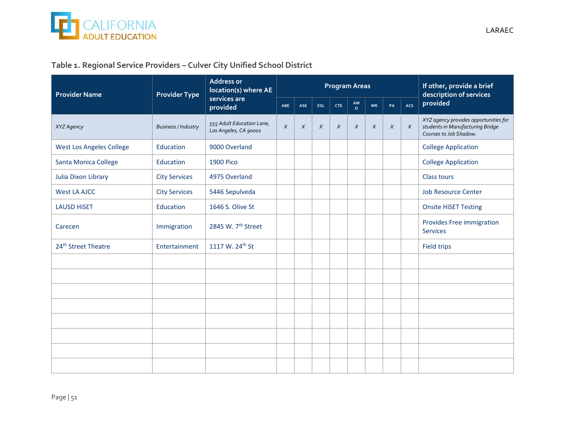

| <b>Provider Name</b>            | <b>Provider Type</b>       | <b>Address or</b><br>location(s) where AE          |        |        |        | <b>Program Areas</b> | If other, provide a brief<br>description of services |        |        |        |                                                                                                     |
|---------------------------------|----------------------------|----------------------------------------------------|--------|--------|--------|----------------------|------------------------------------------------------|--------|--------|--------|-----------------------------------------------------------------------------------------------------|
|                                 |                            | services are<br>provided                           | ABE    | ASE    | ESL    | <b>CTE</b>           | AW<br>D.                                             | WR     | PA     | ACS    | provided                                                                                            |
| XYZ Agency                      | <b>Business / Industry</b> | 555 Adult Education Lane,<br>Los Angeles, CA 90001 | $\chi$ | $\chi$ | $\chi$ | $\chi$               | $\chi$                                               | $\chi$ | $\chi$ | $\chi$ | XYZ agency provides opportunities for<br>students in Manufacturing Bridge<br>Courses to Job Shadow. |
| <b>West Los Angeles College</b> | Education                  | 9000 Overland                                      |        |        |        |                      |                                                      |        |        |        | <b>College Application</b>                                                                          |
| Santa Monica College            | Education                  | <b>1900 Pico</b>                                   |        |        |        |                      |                                                      |        |        |        | <b>College Application</b>                                                                          |
| <b>Julia Dixon Library</b>      | <b>City Services</b>       | 4975 Overland                                      |        |        |        |                      |                                                      |        |        |        | <b>Class tours</b>                                                                                  |
| <b>West LA AJCC</b>             | <b>City Services</b>       | 5446 Sepulveda                                     |        |        |        |                      |                                                      |        |        |        | <b>Job Resource Center</b>                                                                          |
| <b>LAUSD HISET</b>              | Education                  | 1646 S. Olive St                                   |        |        |        |                      |                                                      |        |        |        | <b>Onsite HiSET Testing</b>                                                                         |
| Carecen                         | Immigration                | 2845 W. 7 <sup>th</sup> Street                     |        |        |        |                      |                                                      |        |        |        | Provides Free immigration<br><b>Services</b>                                                        |
| 24 <sup>th</sup> Street Theatre | Entertainment              | 1117 W. 24 <sup>th</sup> St                        |        |        |        |                      |                                                      |        |        |        | <b>Field trips</b>                                                                                  |
|                                 |                            |                                                    |        |        |        |                      |                                                      |        |        |        |                                                                                                     |
|                                 |                            |                                                    |        |        |        |                      |                                                      |        |        |        |                                                                                                     |
|                                 |                            |                                                    |        |        |        |                      |                                                      |        |        |        |                                                                                                     |
|                                 |                            |                                                    |        |        |        |                      |                                                      |        |        |        |                                                                                                     |
|                                 |                            |                                                    |        |        |        |                      |                                                      |        |        |        |                                                                                                     |
|                                 |                            |                                                    |        |        |        |                      |                                                      |        |        |        |                                                                                                     |
|                                 |                            |                                                    |        |        |        |                      |                                                      |        |        |        |                                                                                                     |
|                                 |                            |                                                    |        |        |        |                      |                                                      |        |        |        |                                                                                                     |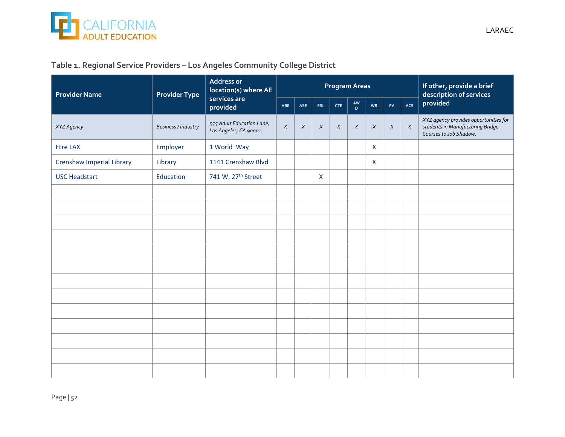

### **Table 1. Regional Service Providers – Los Angeles Community College District**

| <b>Provider Name</b>      | <b>Provider Type</b>       | <b>Address or</b><br>location(s) where AE          |            |        |              | <b>Program Areas</b> | If other, provide a brief<br>description of services |                  |        |        |                                                                                                     |
|---------------------------|----------------------------|----------------------------------------------------|------------|--------|--------------|----------------------|------------------------------------------------------|------------------|--------|--------|-----------------------------------------------------------------------------------------------------|
|                           |                            | services are<br>provided                           | <b>ABE</b> | ASE    | ESL          | <b>CTE</b>           | AW<br>D                                              | WR               | PA     | ACS    | provided                                                                                            |
| XYZ Agency                | <b>Business / Industry</b> | 555 Adult Education Lane,<br>Los Angeles, CA 90001 | $\chi$     | $\chi$ | $\chi$       | $\chi$               | $\chi$                                               | $\boldsymbol{X}$ | $\chi$ | $\chi$ | XYZ agency provides opportunities for<br>students in Manufacturing Bridge<br>Courses to Job Shadow. |
| <b>Hire LAX</b>           | Employer                   | 1 World Way                                        |            |        |              |                      |                                                      | $\mathsf{X}$     |        |        |                                                                                                     |
| Crenshaw Imperial Library | Library                    | 1141 Crenshaw Blvd                                 |            |        |              |                      |                                                      | $\mathsf{X}$     |        |        |                                                                                                     |
| <b>USC Headstart</b>      | Education                  | 741 W. 27 <sup>th</sup> Street                     |            |        | $\mathsf{X}$ |                      |                                                      |                  |        |        |                                                                                                     |
|                           |                            |                                                    |            |        |              |                      |                                                      |                  |        |        |                                                                                                     |
|                           |                            |                                                    |            |        |              |                      |                                                      |                  |        |        |                                                                                                     |
|                           |                            |                                                    |            |        |              |                      |                                                      |                  |        |        |                                                                                                     |
|                           |                            |                                                    |            |        |              |                      |                                                      |                  |        |        |                                                                                                     |
|                           |                            |                                                    |            |        |              |                      |                                                      |                  |        |        |                                                                                                     |
|                           |                            |                                                    |            |        |              |                      |                                                      |                  |        |        |                                                                                                     |
|                           |                            |                                                    |            |        |              |                      |                                                      |                  |        |        |                                                                                                     |
|                           |                            |                                                    |            |        |              |                      |                                                      |                  |        |        |                                                                                                     |
|                           |                            |                                                    |            |        |              |                      |                                                      |                  |        |        |                                                                                                     |
|                           |                            |                                                    |            |        |              |                      |                                                      |                  |        |        |                                                                                                     |
|                           |                            |                                                    |            |        |              |                      |                                                      |                  |        |        |                                                                                                     |
|                           |                            |                                                    |            |        |              |                      |                                                      |                  |        |        |                                                                                                     |
|                           |                            |                                                    |            |        |              |                      |                                                      |                  |        |        |                                                                                                     |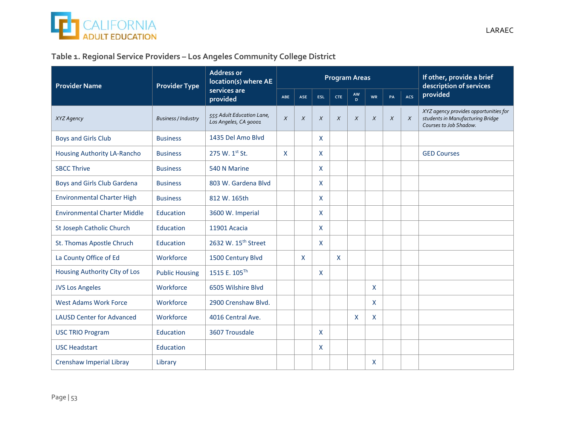

### **Table 1. Regional Service Providers – Los Angeles Community College District**

| <b>Provider Name</b>                | <b>Provider Type</b>       | <b>Address or</b><br>location(s) where AE          |        |            |                           | <b>Program Areas</b> | If other, provide a brief<br>description of services |              |        |        |                                                                                                     |
|-------------------------------------|----------------------------|----------------------------------------------------|--------|------------|---------------------------|----------------------|------------------------------------------------------|--------------|--------|--------|-----------------------------------------------------------------------------------------------------|
|                                     |                            | services are<br>provided                           | ABE    | <b>ASE</b> | <b>ESL</b>                | CTE                  | AW<br>D.                                             | WR           | PA     | ACS    | provided                                                                                            |
| XYZ Agency                          | <b>Business / Industry</b> | 555 Adult Education Lane,<br>Los Angeles, CA 90001 | $\chi$ | $\chi$     | $\chi$                    | $\chi$               | $\chi$                                               | $\chi$       | $\chi$ | $\chi$ | XYZ agency provides opportunities for<br>students in Manufacturing Bridge<br>Courses to Job Shadow. |
| <b>Boys and Girls Club</b>          | <b>Business</b>            | 1435 Del Amo Blvd                                  |        |            | $\mathsf{X}$              |                      |                                                      |              |        |        |                                                                                                     |
| Housing Authority LA-Rancho         | <b>Business</b>            | 275 W. 1st St.                                     | X      |            | $\mathsf{X}$              |                      |                                                      |              |        |        | <b>GED Courses</b>                                                                                  |
| <b>SBCC Thrive</b>                  | <b>Business</b>            | 540 N Marine                                       |        |            | $\mathsf{x}$              |                      |                                                      |              |        |        |                                                                                                     |
| Boys and Girls Club Gardena         | <b>Business</b>            | 803 W. Gardena Blvd                                |        |            | $\mathsf{X}$              |                      |                                                      |              |        |        |                                                                                                     |
| <b>Environmental Charter High</b>   | <b>Business</b>            | 812 W. 165th                                       |        |            | $\mathsf{X}$              |                      |                                                      |              |        |        |                                                                                                     |
| <b>Environmental Charter Middle</b> | Education                  | 3600 W. Imperial                                   |        |            | $\boldsymbol{\mathsf{X}}$ |                      |                                                      |              |        |        |                                                                                                     |
| St Joseph Catholic Church           | Education                  | 11901 Acacia                                       |        |            | $\mathsf{X}$              |                      |                                                      |              |        |        |                                                                                                     |
| St. Thomas Apostle Chruch           | Education                  | 2632 W. 15 <sup>th</sup> Street                    |        |            | $\mathsf{X}$              |                      |                                                      |              |        |        |                                                                                                     |
| La County Office of Ed              | Workforce                  | 1500 Century Blvd                                  |        | X          |                           | X                    |                                                      |              |        |        |                                                                                                     |
| Housing Authority City of Los       | <b>Public Housing</b>      | 1515 E. 105 <sup>Th</sup>                          |        |            | $\mathsf{X}$              |                      |                                                      |              |        |        |                                                                                                     |
| <b>JVS Los Angeles</b>              | Workforce                  | 6505 Wilshire Blvd                                 |        |            |                           |                      |                                                      | $\mathsf{X}$ |        |        |                                                                                                     |
| <b>West Adams Work Force</b>        | Workforce                  | 2900 Crenshaw Blvd.                                |        |            |                           |                      |                                                      | $\mathsf{X}$ |        |        |                                                                                                     |
| <b>LAUSD Center for Advanced</b>    | Workforce                  | 4016 Central Ave.                                  |        |            |                           |                      | X                                                    | X            |        |        |                                                                                                     |
| <b>USC TRIO Program</b>             | Education                  | 3607 Trousdale                                     |        |            | $\mathsf{X}$              |                      |                                                      |              |        |        |                                                                                                     |
| <b>USC Headstart</b>                | Education                  |                                                    |        |            | $\mathsf{X}$              |                      |                                                      |              |        |        |                                                                                                     |
| Crenshaw Imperial Libray            | Library                    |                                                    |        |            |                           |                      |                                                      | X            |        |        |                                                                                                     |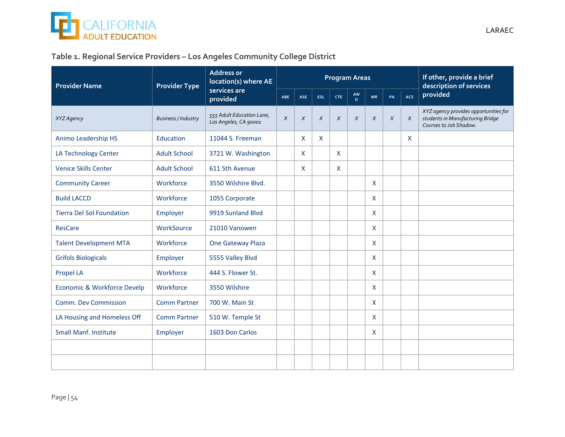

### **Table 1. Regional Service Providers – Los Angeles Community College District**

| <b>Provider Name</b>             | <b>Provider Type</b>       | <b>Address or</b><br>location(s) where AE          |        |            |              | <b>Program Areas</b> |          | If other, provide a brief<br>description of services |        |        |                                                                                                     |
|----------------------------------|----------------------------|----------------------------------------------------|--------|------------|--------------|----------------------|----------|------------------------------------------------------|--------|--------|-----------------------------------------------------------------------------------------------------|
|                                  |                            | services are<br>provided                           | ABE    | <b>ASE</b> | <b>ESL</b>   | CTE                  | AW<br>D. | WR                                                   | PA     | ACS    | provided                                                                                            |
| XYZ Agency                       | <b>Business / Industry</b> | 555 Adult Education Lane,<br>Los Angeles, CA 90001 | $\chi$ | $\chi$     | $\chi$       | $\chi$               | $\chi$   | $\chi$                                               | $\chi$ | $\chi$ | XYZ agency provides opportunities for<br>students in Manufacturing Bridge<br>Courses to Job Shadow. |
| Animo Leadership HS              | Education                  | 11044 S. Freeman                                   |        | X          | $\mathsf{X}$ |                      |          |                                                      |        | X.     |                                                                                                     |
| LA Technology Center             | <b>Adult School</b>        | 3721 W. Washington                                 |        | X          |              | X                    |          |                                                      |        |        |                                                                                                     |
| <b>Venice Skills Center</b>      | <b>Adult School</b>        | 611 5th Avenue                                     |        | X          |              | X                    |          |                                                      |        |        |                                                                                                     |
| <b>Community Career</b>          | Workforce                  | 3550 Wilshire Blvd.                                |        |            |              |                      |          | $\mathsf{X}$                                         |        |        |                                                                                                     |
| <b>Build LACCD</b>               | Workforce                  | 1055 Corporate                                     |        |            |              |                      |          | $\mathsf{X}$                                         |        |        |                                                                                                     |
| <b>Tierra Del Sol Foundation</b> | Employer                   | 9919 Sunland Blvd                                  |        |            |              |                      |          | X                                                    |        |        |                                                                                                     |
| <b>ResCare</b>                   | WorkSource                 | 21010 Vanowen                                      |        |            |              |                      |          | $\mathsf{X}$                                         |        |        |                                                                                                     |
| <b>Talent Development MTA</b>    | Workforce                  | One Gateway Plaza                                  |        |            |              |                      |          | $\mathsf{X}$                                         |        |        |                                                                                                     |
| <b>Grifols Biologicals</b>       | Employer                   | 5555 Valley Blvd                                   |        |            |              |                      |          | X                                                    |        |        |                                                                                                     |
| Propel LA                        | Workforce                  | 444 S. Flower St.                                  |        |            |              |                      |          | X                                                    |        |        |                                                                                                     |
| Economic & Workforce Develp      | Workforce                  | 3550 Wilshire                                      |        |            |              |                      |          | $\mathsf{X}$                                         |        |        |                                                                                                     |
| <b>Comm. Dev Commission</b>      | <b>Comm Partner</b>        | 700 W. Main St                                     |        |            |              |                      |          | $\mathsf{X}$                                         |        |        |                                                                                                     |
| LA Housing and Homeless Off      | <b>Comm Partner</b>        | 510 W. Temple St                                   |        |            |              |                      |          | $\mathsf{X}$                                         |        |        |                                                                                                     |
| <b>Small Manf. Institute</b>     | Employer                   | 1603 Don Carlos                                    |        |            |              |                      |          | $\mathsf{X}$                                         |        |        |                                                                                                     |
|                                  |                            |                                                    |        |            |              |                      |          |                                                      |        |        |                                                                                                     |
|                                  |                            |                                                    |        |            |              |                      |          |                                                      |        |        |                                                                                                     |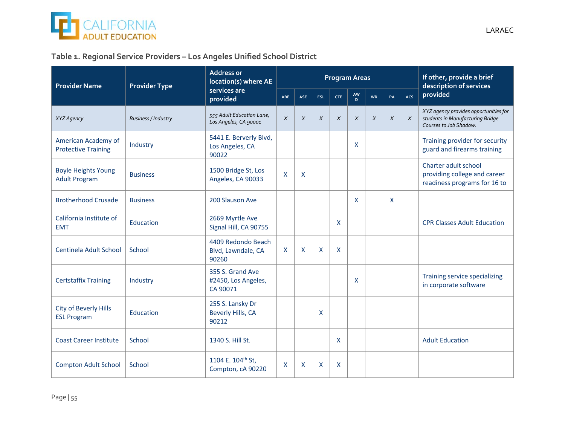

### **Table 1. Regional Service Providers – Los Angeles Unified School District**

| <b>Provider Name</b>                               | <b>Provider Type</b>       | <b>Address or</b><br>location(s) where AE           |            |              |              | <b>Program Areas</b>      |          | If other, provide a brief<br>description of services |              |            |                                                                                                     |
|----------------------------------------------------|----------------------------|-----------------------------------------------------|------------|--------------|--------------|---------------------------|----------|------------------------------------------------------|--------------|------------|-----------------------------------------------------------------------------------------------------|
|                                                    |                            | services are<br>provided                            | <b>ABE</b> | <b>ASE</b>   | <b>ESL</b>   | <b>CTE</b>                | AW<br>D. | WR                                                   | PA           | <b>ACS</b> | provided                                                                                            |
| XYZ Agency                                         | <b>Business / Industry</b> | 555 Adult Education Lane,<br>Los Angeles, CA 90001  | $\chi$     | $\chi$       | X            | $\boldsymbol{X}$          | $\chi$   | $\chi$                                               | $\chi$       | $\chi$     | XYZ agency provides opportunities for<br>students in Manufacturing Bridge<br>Courses to Job Shadow. |
| American Academy of<br><b>Protective Training</b>  | Industry                   | 5441 E. Berverly Blvd,<br>Los Angeles, CA<br>90022  |            |              |              |                           | X        |                                                      |              |            | Training provider for security<br>guard and firearms training                                       |
| <b>Boyle Heights Young</b><br><b>Adult Program</b> | <b>Business</b>            | 1500 Bridge St, Los<br>Angeles, CA 90033            | X          | $\mathsf{X}$ |              |                           |          |                                                      |              |            | Charter adult school<br>providing college and career<br>readiness programs for 16 to                |
| <b>Brotherhood Crusade</b>                         | <b>Business</b>            | 200 Slauson Ave                                     |            |              |              |                           | X        |                                                      | $\mathsf{X}$ |            |                                                                                                     |
| California Institute of<br><b>EMT</b>              | Education                  | 2669 Myrtle Ave<br>Signal Hill, CA 90755            |            |              |              | X                         |          |                                                      |              |            | <b>CPR Classes Adult Education</b>                                                                  |
| Centinela Adult School                             | School                     | 4409 Redondo Beach<br>Blvd, Lawndale, CA<br>90260   | X          | $\mathsf{x}$ | $\mathsf{x}$ | $\boldsymbol{\mathsf{X}}$ |          |                                                      |              |            |                                                                                                     |
| <b>Certstaffix Training</b>                        | Industry                   | 355 S. Grand Ave<br>#2450, Los Angeles,<br>CA 90071 |            |              |              |                           | X        |                                                      |              |            | Training service specializing<br>in corporate software                                              |
| <b>City of Beverly Hills</b><br><b>ESL Program</b> | Education                  | 255 S. Lansky Dr<br>Beverly Hills, CA<br>90212      |            |              | X            |                           |          |                                                      |              |            |                                                                                                     |
| <b>Coast Career Institute</b>                      | School                     | 1340 S. Hill St.                                    |            |              |              | X                         |          |                                                      |              |            | <b>Adult Education</b>                                                                              |
| <b>Compton Adult School</b>                        | School                     | 1104 E. 104 <sup>th</sup> St,<br>Compton, cA 90220  | X          | X            | X            | X                         |          |                                                      |              |            |                                                                                                     |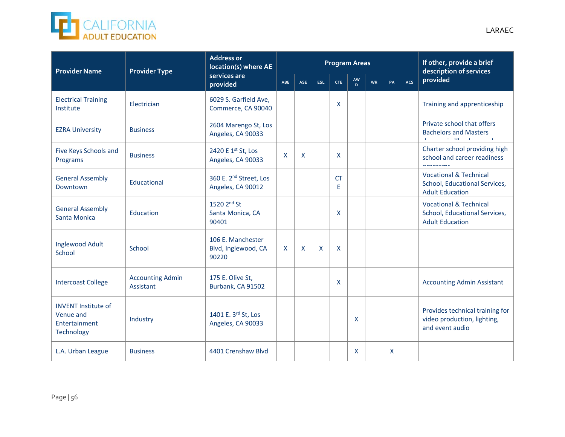

| <b>Provider Name</b>                                                   | <b>Provider Type</b>                 | <b>Address or</b><br>location(s) where AE               |              |              |            |                | <b>Program Areas</b> | If other, provide a brief<br>description of services |    |     |                                                                                                                 |  |
|------------------------------------------------------------------------|--------------------------------------|---------------------------------------------------------|--------------|--------------|------------|----------------|----------------------|------------------------------------------------------|----|-----|-----------------------------------------------------------------------------------------------------------------|--|
|                                                                        |                                      | services are<br>provided                                | ABE          | <b>ASE</b>   | <b>ESL</b> | <b>CTE</b>     | AW<br>D              | <b>WR</b>                                            | PA | ACS | provided                                                                                                        |  |
| <b>Electrical Training</b><br>Institute                                | Electrician                          | 6029 S. Garfield Ave,<br>Commerce, CA 90040             |              |              |            | X              |                      |                                                      |    |     | Training and apprenticeship                                                                                     |  |
| <b>EZRA University</b>                                                 | <b>Business</b>                      | 2604 Marengo St, Los<br>Angeles, CA 90033               |              |              |            |                |                      |                                                      |    |     | Private school that offers<br><b>Bachelors and Masters</b><br>والمستوفي والمستولية والمعارضة والمستوين والمنافذ |  |
| Five Keys Schools and<br>Programs                                      | <b>Business</b>                      | 2420 E 1st St, Los<br>Angeles, CA 90033                 | $\mathsf{x}$ | $\mathsf{X}$ |            | X              |                      |                                                      |    |     | Charter school providing high<br>school and career readiness<br>nroarome                                        |  |
| <b>General Assembly</b><br>Downtown                                    | Educational                          | 360 E. 2 <sup>nd</sup> Street, Los<br>Angeles, CA 90012 |              |              |            | <b>CT</b><br>E |                      |                                                      |    |     | <b>Vocational &amp; Technical</b><br>School, Educational Services,<br><b>Adult Education</b>                    |  |
| <b>General Assembly</b><br>Santa Monica                                | Education                            | 1520 2 <sup>nd</sup> St<br>Santa Monica, CA<br>90401    |              |              |            | X              |                      |                                                      |    |     | <b>Vocational &amp; Technical</b><br>School, Educational Services,<br><b>Adult Education</b>                    |  |
| Inglewood Adult<br>School                                              | School                               | 106 E. Manchester<br>Blvd, Inglewood, CA<br>90220       | $\mathsf{x}$ | $\mathsf{X}$ | X          | X              |                      |                                                      |    |     |                                                                                                                 |  |
| <b>Intercoast College</b>                                              | <b>Accounting Admin</b><br>Assistant | 175 E. Olive St,<br>Burbank, CA 91502                   |              |              |            | X              |                      |                                                      |    |     | <b>Accounting Admin Assistant</b>                                                                               |  |
| <b>INVENT Institute of</b><br>Venue and<br>Entertainment<br>Technology | Industry                             | 1401 E. 3rd St, Los<br>Angeles, CA 90033                |              |              |            |                | X                    |                                                      |    |     | Provides technical training for<br>video production, lighting,<br>and event audio                               |  |
| L.A. Urban League                                                      | <b>Business</b>                      | 4401 Crenshaw Blvd                                      |              |              |            |                | X                    |                                                      | X  |     |                                                                                                                 |  |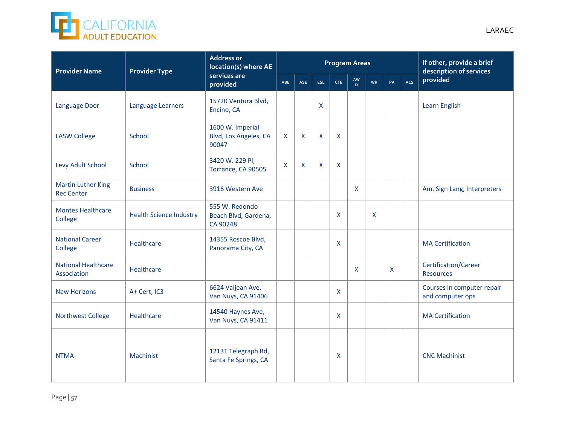

| <b>Provider Name</b>                           | <b>Provider Type</b>           | <b>Address or</b><br>location(s) where AE          |              | If other, provide a brief<br><b>Program Areas</b><br>description of services |            |              |              |    |    |     |                                                |  |  |  |
|------------------------------------------------|--------------------------------|----------------------------------------------------|--------------|------------------------------------------------------------------------------|------------|--------------|--------------|----|----|-----|------------------------------------------------|--|--|--|
|                                                |                                | services are<br>provided                           | ABE          | <b>ASE</b>                                                                   | <b>ESL</b> | <b>CTE</b>   | AW<br>D.     | WR | PA | ACS | provided                                       |  |  |  |
| Language Door                                  | Language Learners              | 15720 Ventura Blvd,<br>Encino, CA                  |              |                                                                              | X          |              |              |    |    |     | Learn English                                  |  |  |  |
| <b>LASW College</b>                            | School                         | 1600 W. Imperial<br>Blvd, Los Angeles, CA<br>90047 | $\mathsf{x}$ | $\mathsf{X}$                                                                 | X          | X            |              |    |    |     |                                                |  |  |  |
| Levy Adult School                              | School                         | 3420 W. 229 Pl,<br>Torrance, CA 90505              | $\mathsf{x}$ | X                                                                            | X          | $\mathsf{X}$ |              |    |    |     |                                                |  |  |  |
| <b>Martin Luther King</b><br><b>Rec Center</b> | <b>Business</b>                | 3916 Western Ave                                   |              |                                                                              |            |              | X            |    |    |     | Am. Sign Lang, Interpreters                    |  |  |  |
| <b>Montes Healthcare</b><br>College            | <b>Health Science Industry</b> | 555 W. Redondo<br>Beach Blvd, Gardena,<br>CA 90248 |              |                                                                              |            | X            |              | X  |    |     |                                                |  |  |  |
| <b>National Career</b><br>College              | Healthcare                     | 14355 Roscoe Blvd,<br>Panorama City, CA            |              |                                                                              |            | X            |              |    |    |     | <b>MA Certification</b>                        |  |  |  |
| <b>National Healthcare</b><br>Association      | Healthcare                     |                                                    |              |                                                                              |            |              | $\mathsf{x}$ |    | X  |     | Certification/Career<br><b>Resources</b>       |  |  |  |
| <b>New Horizons</b>                            | A+ Cert, IC3                   | 6624 Valjean Ave,<br>Van Nuys, CA 91406            |              |                                                                              |            | X            |              |    |    |     | Courses in computer repair<br>and computer ops |  |  |  |
| <b>Northwest College</b>                       | Healthcare                     | 14540 Haynes Ave,<br>Van Nuys, CA 91411            |              |                                                                              |            | X            |              |    |    |     | <b>MA Certification</b>                        |  |  |  |
| <b>NTMA</b>                                    | Machinist                      | 12131 Telegraph Rd,<br>Santa Fe Springs, CA        |              |                                                                              |            | X            |              |    |    |     | <b>CNC Machinist</b>                           |  |  |  |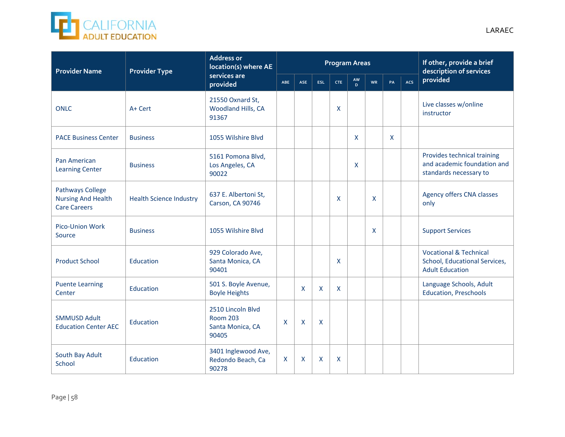

| <b>Provider Name</b>                                                        | <b>Provider Type</b>           | <b>Address or</b><br>location(s) where AE                         | <b>Program Areas</b> |              |                           |            |          |           | If other, provide a brief<br>description of services |     |                                                                                              |
|-----------------------------------------------------------------------------|--------------------------------|-------------------------------------------------------------------|----------------------|--------------|---------------------------|------------|----------|-----------|------------------------------------------------------|-----|----------------------------------------------------------------------------------------------|
|                                                                             |                                | services are<br>provided                                          | ABE                  | <b>ASE</b>   | ESL                       | <b>CTE</b> | AW<br>D. | <b>WR</b> | PA                                                   | ACS | provided                                                                                     |
| <b>ONLC</b>                                                                 | A+ Cert                        | 21550 Oxnard St,<br>Woodland Hills, CA<br>91367                   |                      |              |                           | X          |          |           |                                                      |     | Live classes w/online<br>instructor                                                          |
| <b>PACE Business Center</b>                                                 | <b>Business</b>                | 1055 Wilshire Blvd                                                |                      |              |                           |            | X        |           | $\mathsf{X}$                                         |     |                                                                                              |
| Pan American<br><b>Learning Center</b>                                      | <b>Business</b>                | 5161 Pomona Blvd,<br>Los Angeles, CA<br>90022                     |                      |              |                           |            | X        |           |                                                      |     | Provides technical training<br>and academic foundation and<br>standards necessary to         |
| <b>Pathways College</b><br><b>Nursing And Health</b><br><b>Care Careers</b> | <b>Health Science Industry</b> | 637 E. Albertoni St,<br>Carson, CA 90746                          |                      |              |                           | X          |          | X         |                                                      |     | Agency offers CNA classes<br>only                                                            |
| Pico-Union Work<br>Source                                                   | <b>Business</b>                | 1055 Wilshire Blvd                                                |                      |              |                           |            |          | X         |                                                      |     | <b>Support Services</b>                                                                      |
| <b>Product School</b>                                                       | Education                      | 929 Colorado Ave,<br>Santa Monica, CA<br>90401                    |                      |              |                           | X          |          |           |                                                      |     | <b>Vocational &amp; Technical</b><br>School, Educational Services,<br><b>Adult Education</b> |
| <b>Puente Learning</b><br>Center                                            | Education                      | 501 S. Boyle Avenue,<br><b>Boyle Heights</b>                      |                      | $\mathsf{x}$ | $\boldsymbol{\mathsf{x}}$ | X          |          |           |                                                      |     | Language Schools, Adult<br><b>Education, Preschools</b>                                      |
| <b>SMMUSD Adult</b><br><b>Education Center AEC</b>                          | Education                      | 2510 Lincoln Blvd<br><b>Room 203</b><br>Santa Monica, CA<br>90405 | $\mathsf{x}$         | $\mathsf{x}$ | $\mathsf{x}$              |            |          |           |                                                      |     |                                                                                              |
| South Bay Adult<br>School                                                   | Education                      | 3401 Inglewood Ave,<br>Redondo Beach, Ca<br>90278                 | $\mathsf{X}$         | $\mathsf{x}$ | $\boldsymbol{\mathsf{x}}$ | X          |          |           |                                                      |     |                                                                                              |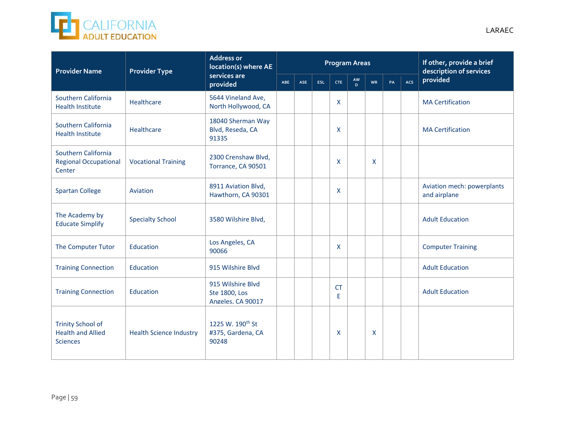

| <b>Provider Name</b>                                                    | <b>Provider Type</b>           | <b>Address or</b><br>location(s) where AE                  |            | If other, provide a brief<br><b>Program Areas</b><br>description of services |            |                 |         |              |    |            |                                            |  |
|-------------------------------------------------------------------------|--------------------------------|------------------------------------------------------------|------------|------------------------------------------------------------------------------|------------|-----------------|---------|--------------|----|------------|--------------------------------------------|--|
|                                                                         |                                | services are<br>provided                                   | <b>ABE</b> | ASE                                                                          | <b>ESL</b> | <b>CTE</b>      | AW<br>D | WR           | PA | <b>ACS</b> | provided                                   |  |
| Southern California<br><b>Health Institute</b>                          | Healthcare                     | 5644 Vineland Ave,<br>North Hollywood, CA                  |            |                                                                              |            | X               |         |              |    |            | <b>MA Certification</b>                    |  |
| Southern California<br><b>Health Institute</b>                          | Healthcare                     | 18040 Sherman Way<br>Blvd, Reseda, CA<br>91335             |            |                                                                              |            | X               |         |              |    |            | <b>MA Certification</b>                    |  |
| Southern California<br><b>Regional Occupational</b><br>Center           | <b>Vocational Training</b>     | 2300 Crenshaw Blvd,<br>Torrance, CA 90501                  |            |                                                                              |            | X               |         | $\mathsf{x}$ |    |            |                                            |  |
| <b>Spartan College</b>                                                  | Aviation                       | 8911 Aviation Blvd,<br>Hawthorn, CA 90301                  |            |                                                                              |            | X               |         |              |    |            | Aviation mech: powerplants<br>and airplane |  |
| The Academy by<br><b>Educate Simplify</b>                               | <b>Specialty School</b>        | 3580 Wilshire Blvd,                                        |            |                                                                              |            |                 |         |              |    |            | <b>Adult Education</b>                     |  |
| The Computer Tutor                                                      | Education                      | Los Angeles, CA<br>90066                                   |            |                                                                              |            | X               |         |              |    |            | <b>Computer Training</b>                   |  |
| <b>Training Connection</b>                                              | Education                      | 915 Wilshire Blvd                                          |            |                                                                              |            |                 |         |              |    |            | <b>Adult Education</b>                     |  |
| <b>Training Connection</b>                                              | Education                      | 915 Wilshire Blvd<br>Ste 1800, Los<br>Angeles. CA 90017    |            |                                                                              |            | <b>CT</b><br>E. |         |              |    |            | <b>Adult Education</b>                     |  |
| <b>Trinity School of</b><br><b>Health and Allied</b><br><b>Sciences</b> | <b>Health Science Industry</b> | 1225 W. 190 <sup>th</sup> St<br>#375, Gardena, CA<br>90248 |            |                                                                              |            | X               |         | X            |    |            |                                            |  |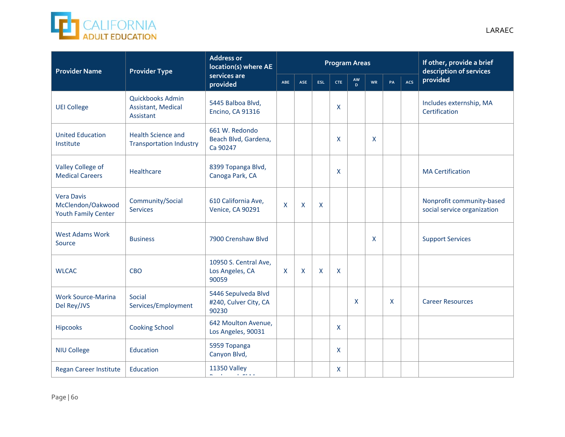

| <b>Provider Name</b>                                                 | <b>Provider Type</b>                                        | <b>Address or</b><br>location(s) where AE                                     | <b>Program Areas</b> |            |     |            |                    |           |              | If other, provide a brief<br>description of services |                                                          |  |  |  |
|----------------------------------------------------------------------|-------------------------------------------------------------|-------------------------------------------------------------------------------|----------------------|------------|-----|------------|--------------------|-----------|--------------|------------------------------------------------------|----------------------------------------------------------|--|--|--|
|                                                                      |                                                             | services are<br>provided                                                      | ABE                  | <b>ASE</b> | ESL | <b>CTE</b> | AW<br>$\mathbf{D}$ | <b>WR</b> | PA           | ACS                                                  | provided                                                 |  |  |  |
| <b>UEI College</b>                                                   | Quickbooks Admin<br>Assistant, Medical<br>Assistant         | 5445 Balboa Blvd,<br><b>Encino, CA 91316</b>                                  |                      |            |     | X          |                    |           |              |                                                      | Includes externship, MA<br>Certification                 |  |  |  |
| <b>United Education</b><br>Institute                                 | <b>Health Science and</b><br><b>Transportation Industry</b> | 661 W. Redondo<br>Beach Blvd, Gardena,<br>Ca 90247                            |                      |            |     | X          |                    | X         |              |                                                      |                                                          |  |  |  |
| Valley College of<br><b>Medical Careers</b>                          | Healthcare                                                  | 8399 Topanga Blvd,<br>Canoga Park, CA                                         |                      |            |     | X          |                    |           |              |                                                      | <b>MA Certification</b>                                  |  |  |  |
| <b>Vera Davis</b><br>McClendon/Oakwood<br><b>Youth Family Center</b> | Community/Social<br><b>Services</b>                         | 610 California Ave,<br><b>Venice, CA 90291</b>                                | X                    | X          | X   |            |                    |           |              |                                                      | Nonprofit community-based<br>social service organization |  |  |  |
| <b>West Adams Work</b><br>Source                                     | <b>Business</b>                                             | 7900 Crenshaw Blvd                                                            |                      |            |     |            |                    | X         |              |                                                      | <b>Support Services</b>                                  |  |  |  |
| <b>WLCAC</b>                                                         | <b>CBO</b>                                                  | 10950 S. Central Ave,<br>Los Angeles, CA<br>90059                             | X                    | X          | X   | X          |                    |           |              |                                                      |                                                          |  |  |  |
| <b>Work Source-Marina</b><br>Del Rey/JVS                             | Social<br>Services/Employment                               | 5446 Sepulveda Blvd<br>#240, Culver City, CA<br>90230                         |                      |            |     |            | $\mathsf{x}$       |           | $\mathsf{x}$ |                                                      | <b>Career Resources</b>                                  |  |  |  |
| <b>Hipcooks</b>                                                      | <b>Cooking School</b>                                       | 642 Moulton Avenue,<br>Los Angeles, 90031                                     |                      |            |     | X          |                    |           |              |                                                      |                                                          |  |  |  |
| <b>NIU College</b>                                                   | Education                                                   | 5959 Topanga<br>Canyon Blvd,                                                  |                      |            |     | X          |                    |           |              |                                                      |                                                          |  |  |  |
| Regan Career Institute                                               | Education                                                   | <b>11350 Valley</b><br>All Contracts<br>$\mathcal{A}=\mathcal{A}+\mathcal{A}$ |                      |            |     | X          |                    |           |              |                                                      |                                                          |  |  |  |